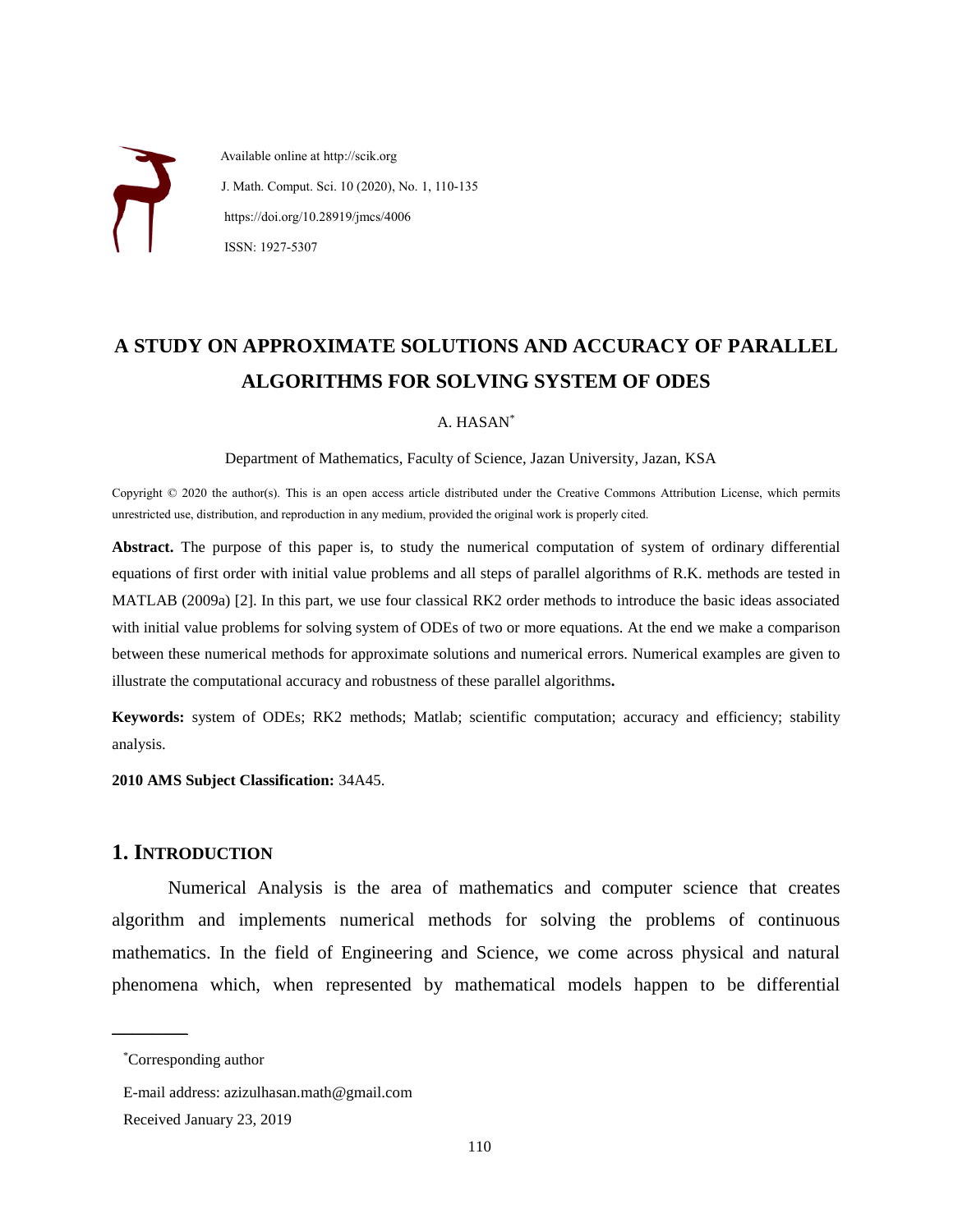Available online at http://scik.org J. Math. Comput. Sci. 10 (2020), No. 1, 110-135 https://doi.org/10.28919/jmcs/4006 ISSN: 1927-5307

# **A STUDY ON APPROXIMATE SOLUTIONS AND ACCURACY OF PARALLEL ALGORITHMS FOR SOLVING SYSTEM OF ODES**

#### A. HASAN\*

Department of Mathematics, Faculty of Science, Jazan University, Jazan, KSA

Copyright © 2020 the author(s). This is an open access article distributed under the Creative Commons Attribution License, which permits unrestricted use, distribution, and reproduction in any medium, provided the original work is properly cited.

**Abstract.** The purpose of this paper is, to study the numerical computation of system of ordinary differential equations of first order with initial value problems and all steps of parallel algorithms of R.K. methods are tested in MATLAB (2009a) [2]. In this part, we use four classical RK2 order methods to introduce the basic ideas associated with initial value problems for solving system of ODEs of two or more equations. At the end we make a comparison between these numerical methods for approximate solutions and numerical errors. Numerical examples are given to illustrate the computational accuracy and robustness of these parallel algorithms**.**

**Keywords:** system of ODEs; RK2 methods; Matlab; scientific computation; accuracy and efficiency; stability analysis.

**2010 AMS Subject Classification:** 34A45.

### **1. INTRODUCTION**

Numerical Analysis is the area of mathematics and computer science that creates algorithm and implements numerical methods for solving the problems of continuous mathematics. In the field of Engineering and Science, we come across physical and natural phenomena which, when represented by mathematical models happen to be differential

 $\overline{\phantom{a}}$  , where  $\overline{\phantom{a}}$ 

<sup>\*</sup>Corresponding author

E-mail address: azizulhasan.math@gmail.com

Received January 23, 2019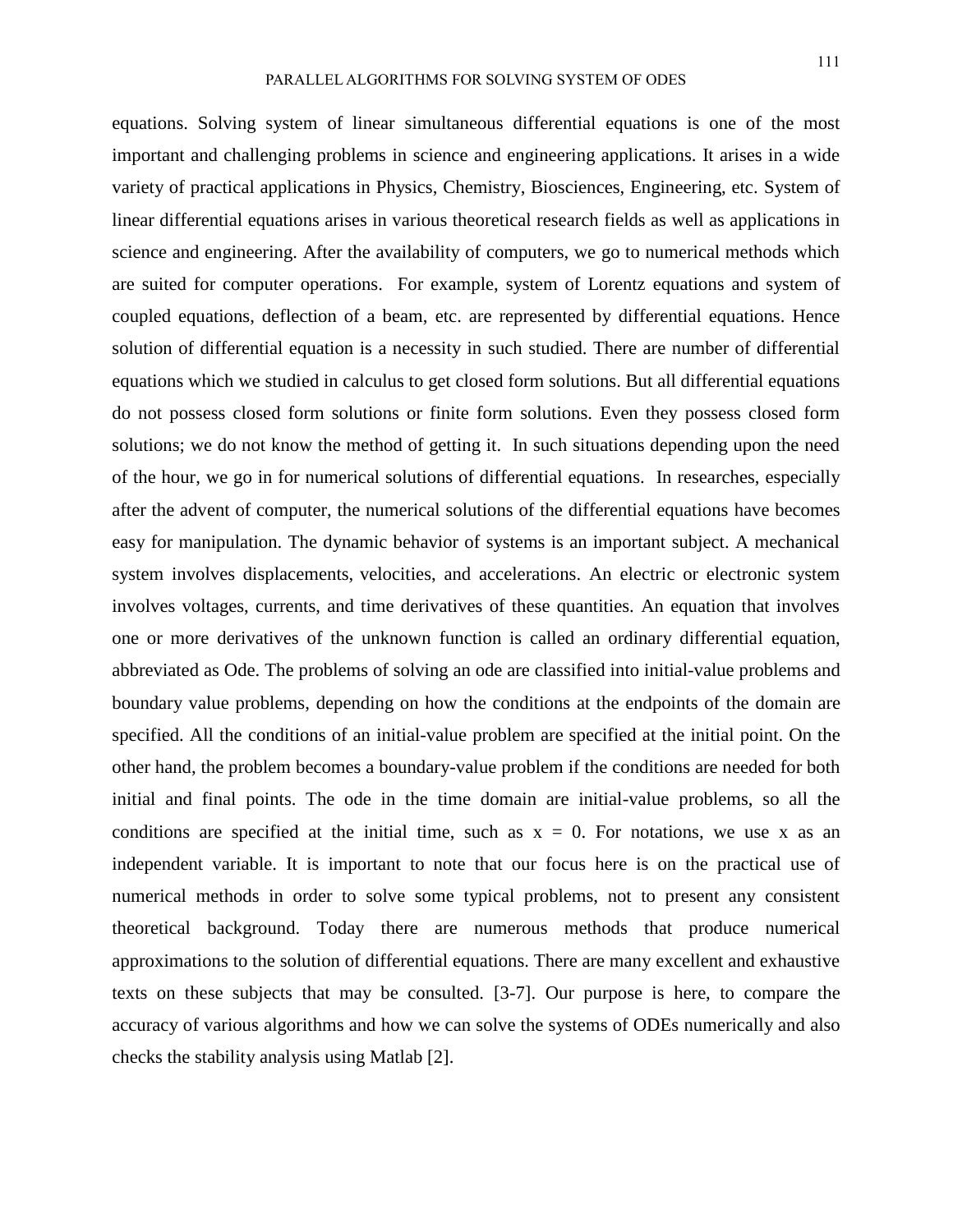equations. Solving system of linear simultaneous differential equations is one of the most important and challenging problems in science and engineering applications. It arises in a wide variety of practical applications in Physics, Chemistry, Biosciences, Engineering, etc. System of linear differential equations arises in various theoretical research fields as well as applications in science and engineering. After the availability of computers, we go to numerical methods which are suited for computer operations. For example, system of Lorentz equations and system of coupled equations, deflection of a beam, etc. are represented by differential equations. Hence solution of differential equation is a necessity in such studied. There are number of differential equations which we studied in calculus to get closed form solutions. But all differential equations do not possess closed form solutions or finite form solutions. Even they possess closed form solutions; we do not know the method of getting it. In such situations depending upon the need of the hour, we go in for numerical solutions of differential equations. In researches, especially after the advent of computer, the numerical solutions of the differential equations have becomes easy for manipulation. The dynamic behavior of systems is an important subject. A mechanical system involves displacements, velocities, and accelerations. An electric or electronic system involves voltages, currents, and time derivatives of these quantities. An equation that involves one or more derivatives of the unknown function is called an ordinary differential equation, abbreviated as Ode. The problems of solving an ode are classified into initial-value problems and boundary value problems, depending on how the conditions at the endpoints of the domain are specified. All the conditions of an initial-value problem are specified at the initial point. On the other hand, the problem becomes a boundary-value problem if the conditions are needed for both initial and final points. The ode in the time domain are initial-value problems, so all the conditions are specified at the initial time, such as  $x = 0$ . For notations, we use x as an independent variable. It is important to note that our focus here is on the practical use of numerical methods in order to solve some typical problems, not to present any consistent theoretical background. Today there are numerous methods that produce numerical approximations to the solution of differential equations. There are many excellent and exhaustive texts on these subjects that may be consulted. [3-7]. Our purpose is here, to compare the accuracy of various algorithms and how we can solve the systems of ODEs numerically and also checks the stability analysis using Matlab [2].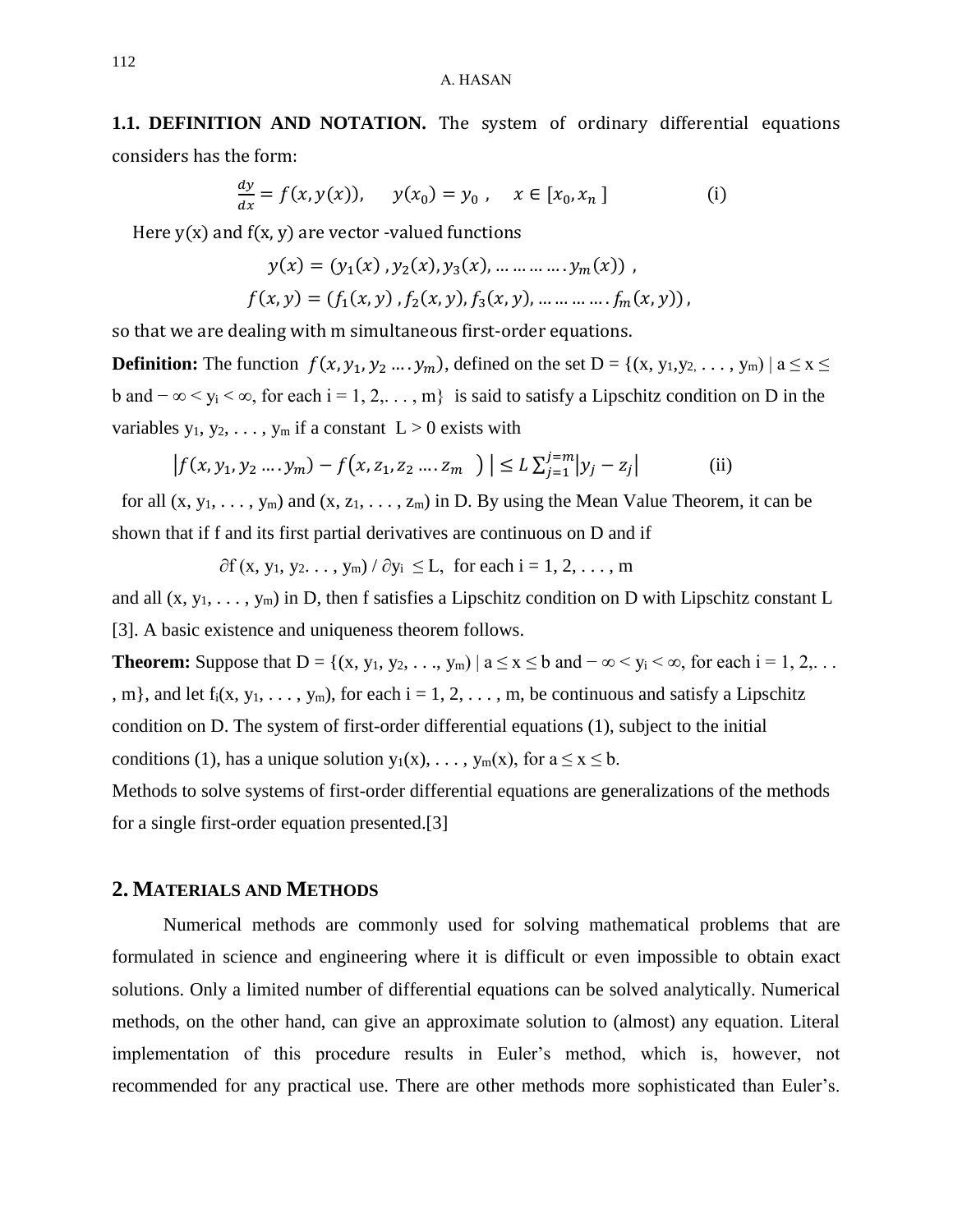# **1.1. DEFINITION AND NOTATION.** The system of ordinary differential equations considers has the form:

$$
\frac{dy}{dx} = f(x, y(x)), \quad y(x_0) = y_0, \quad x \in [x_0, x_n]
$$
 (i)

Here  $y(x)$  and  $f(x, y)$  are vector -valued functions

$$
y(x) = (y_1(x), y_2(x), y_3(x), \dots \dots \dots \dots y_m(x)),
$$
  

$$
f(x, y) = (f_1(x, y), f_2(x, y), f_3(x, y), \dots \dots \dots \dots f_m(x, y)),
$$

so that we are dealing with m simultaneous first-order equations.

**Definition:** The function  $f(x, y_1, y_2, \ldots, y_m)$ , defined on the set  $D = \{(x, y_1, y_2, \ldots, y_m) | a \le x \le m\}$ b and  $-\infty < y_i < \infty$ , for each i = 1, 2,..., m} is said to satisfy a Lipschitz condition on D in the variables  $y_1, y_2, \ldots, y_m$  if a constant  $L > 0$  exists with

$$
\left| f(x, y_1, y_2 \dots y_m) - f(x, z_1, z_2 \dots z_m) \right| \le L \sum_{j=1}^{j=m} |y_j - z_j| \tag{ii}
$$

for all  $(x, y_1, \ldots, y_m)$  and  $(x, z_1, \ldots, z_m)$  in D. By using the Mean Value Theorem, it can be shown that if f and its first partial derivatives are continuous on D and if

 $\partial f(x, y_1, y_2, \ldots, y_m) / \partial y_i \leq L$ , for each i = 1, 2, ..., m

and all  $(x, y_1, \ldots, y_m)$  in D, then f satisfies a Lipschitz condition on D with Lipschitz constant L [3]. A basic existence and uniqueness theorem follows.

**Theorem:** Suppose that  $D = \{(x, y_1, y_2, \ldots, y_m) \mid a \le x \le b \text{ and } -\infty < y_i < \infty, \text{ for each } i = 1, 2, \ldots\}$ , m}, and let  $f_i(x, y_1, \ldots, y_m)$ , for each  $i = 1, 2, \ldots, m$ , be continuous and satisfy a Lipschitz condition on D. The system of first-order differential equations (1), subject to the initial conditions (1), has a unique solution  $y_1(x), \ldots, y_m(x)$ , for  $a \le x \le b$ .

Methods to solve systems of first-order differential equations are generalizations of the methods for a single first-order equation presented.[3]

### **2. MATERIALS AND METHODS**

 Numerical methods are commonly used for solving mathematical problems that are formulated in science and engineering where it is difficult or even impossible to obtain exact solutions. Only a limited number of differential equations can be solved analytically. Numerical methods, on the other hand, can give an approximate solution to (almost) any equation. Literal implementation of this procedure results in Euler's method, which is, however, not recommended for any practical use. There are other methods more sophisticated than Euler's.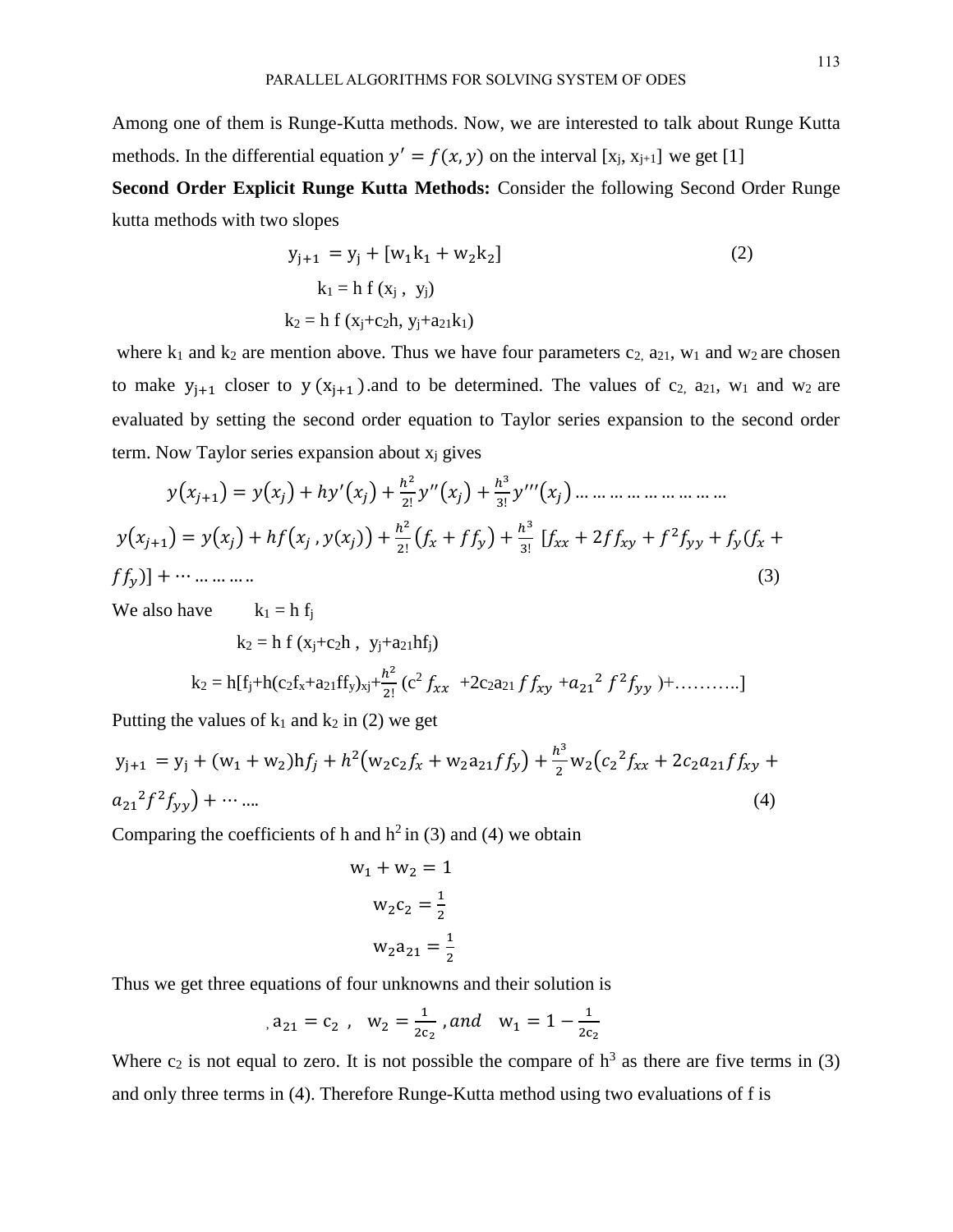Among one of them is Runge-Kutta methods. Now, we are interested to talk about Runge Kutta methods. In the differential equation  $y' = f(x, y)$  on the interval [x<sub>j</sub>, x<sub>j+1</sub>] we get [1]

**Second Order Explicit Runge Kutta Methods:** Consider the following Second Order Runge kutta methods with two slopes

$$
y_{j+1} = y_j + [w_1k_1 + w_2k_2]
$$
  
\n
$$
k_1 = h f (x_j, y_j)
$$
  
\n
$$
k_2 = h f (x_j + c_2h, y_j + a_{21}k_1)
$$
\n(2)

where  $k_1$  and  $k_2$  are mention above. Thus we have four parameters  $c_2$ ,  $a_{21}$ ,  $w_1$  and  $w_2$  are chosen to make  $y_{j+1}$  closer to  $y(x_{j+1})$  and to be determined. The values of  $c_2$ ,  $a_{21}$ ,  $w_1$  and  $w_2$  are evaluated by setting the second order equation to Taylor series expansion to the second order term. Now Taylor series expansion about  $x_i$  gives

$$
y(x_{j+1}) = y(x_j) + hy'(x_j) + \frac{h^2}{2!}y''(x_j) + \frac{h^3}{3!}y'''(x_j) + \dots + \dots + \dots
$$
  

$$
y(x_{j+1}) = y(x_j) + hf(x_j, y(x_j)) + \frac{h^2}{2!}(f_x + ff_y) + \frac{h^3}{3!}[f_{xx} + 2ff_{xy} + f^2f_{yy} + f_y(f_x + ff_y)] + \dots + \dots
$$
  
(3)

We also have  $k_1 = h f_i$ 

$$
k_2=h\;f\;(x_j+c_2h\;,\;\;y_j+a_{21}hf_j)
$$

$$
k_2 = h[f_j + h(c_2f_x + a_{21}ff_y)_{xj} + \frac{h^2}{2!} (c^2 f_{xx} + 2c_2a_{21}ff_{xy} + a_{21}^2 f^2 f_{yy}) + \dots \dots \dots]
$$

Putting the values of  $k_1$  and  $k_2$  in (2) we get

$$
y_{j+1} = y_j + (w_1 + w_2)hf_j + h^2(w_2c_2f_x + w_2a_{21}ff_y) + \frac{h^3}{2}w_2(c_2f_{xx} + 2c_2a_{21}ff_{xy} + a_{21}^2f^2f_{yy}) + \cdots \dots
$$
\n(4)

Comparing the coefficients of h and  $h^2$  in (3) and (4) we obtain

$$
w_1 + w_2 = 1
$$

$$
w_2c_2 = \frac{1}{2}
$$

$$
w_2a_{21} = \frac{1}{2}
$$

Thus we get three equations of four unknowns and their solution is

$$
a_{21} = c_2 \text{ , } w_2 = \frac{1}{2c_2} \text{ , and } w_1 = 1 - \frac{1}{2c_2}
$$

Where  $c_2$  is not equal to zero. It is not possible the compare of  $h^3$  as there are five terms in (3) and only three terms in (4). Therefore Runge-Kutta method using two evaluations of f is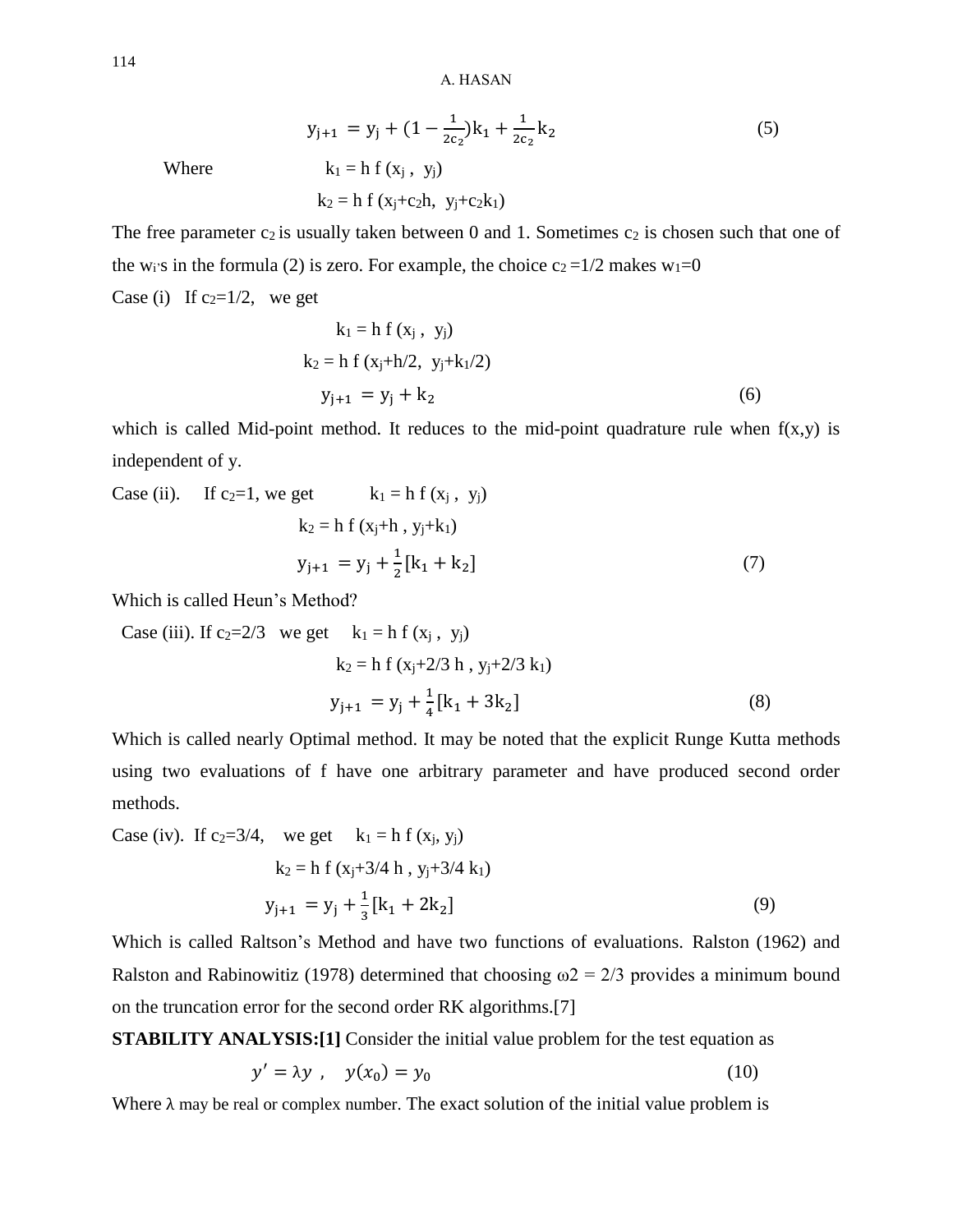$$
y_{j+1} = y_j + (1 - \frac{1}{2c_2})k_1 + \frac{1}{2c_2}k_2
$$
 (5)  
Where  $k_1 = h f(x_j, y_j)$ 

Where

 $k_2 = h f (x_i + c_2 h, y_i + c_2 k_1)$ 

The free parameter  $c_2$  is usually taken between 0 and 1. Sometimes  $c_2$  is chosen such that one of the w<sub>i</sub>'s in the formula (2) is zero. For example, the choice  $c_2 = 1/2$  makes w<sub>1</sub>=0 Case (i) If  $c_2=1/2$ , we get

$$
k_1 = h f (x_j, y_j)
$$
  
\n
$$
k_2 = h f (x_j + h/2, y_j + k_1/2)
$$
  
\n
$$
y_{j+1} = y_j + k_2
$$
\n(6)

which is called Mid-point method. It reduces to the mid-point quadrature rule when  $f(x,y)$  is independent of y.

Case (ii). If 
$$
c_2=1
$$
, we get  $k_1 = h f(x_j, y_j)$   
\n $k_2 = h f(x_j+h, y_j+k_1)$   
\n $y_{j+1} = y_j + \frac{1}{2} [k_1 + k_2]$  (7)

Which is called Heun's Method?

Case (iii). If 
$$
c_2=2/3
$$
 we get  $k_1 = h f(x_j, y_j)$   
\n $k_2 = h f(x_j+2/3 h, y_j+2/3 k_1)$   
\n $y_{j+1} = y_j + \frac{1}{4} [k_1 + 3k_2]$  (8)

Which is called nearly Optimal method. It may be noted that the explicit Runge Kutta methods using two evaluations of f have one arbitrary parameter and have produced second order methods.

Case (iv). If 
$$
c_2=3/4
$$
, we get  $k_1 = h f(x_j, y_j)$   
\n $k_2 = h f(x_j+3/4 h, y_j+3/4 k_1)$   
\n $y_{j+1} = y_j + \frac{1}{3} [k_1 + 2k_2]$  (9)

Which is called Raltson's Method and have two functions of evaluations. Ralston (1962) and Ralston and Rabinowitiz (1978) determined that choosing  $\omega$  = 2/3 provides a minimum bound on the truncation error for the second order RK algorithms.[7]

**STABILITY ANALYSIS:**[1] Consider the initial value problem for the test equation as

$$
y' = \lambda y \ , \quad y(x_0) = y_0 \tag{10}
$$

Where  $\lambda$  may be real or complex number. The exact solution of the initial value problem is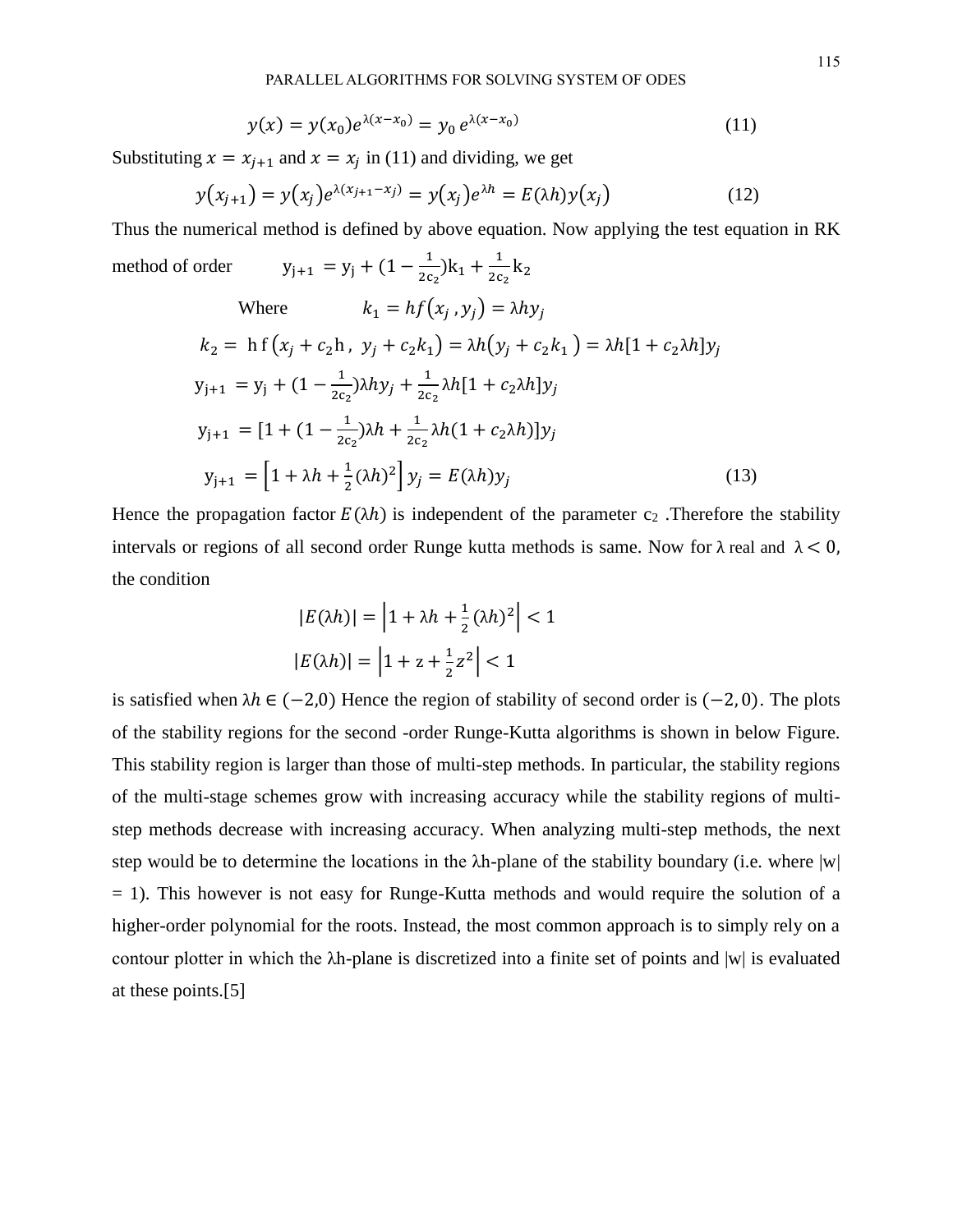$$
y(x) = y(x_0)e^{\lambda(x - x_0)} = y_0 e^{\lambda(x - x_0)}
$$
(11)

Substituting  $x = x_{j+1}$  and  $x = x_j$  in (11) and dividing, we get

$$
y(x_{j+1}) = y(x_j)e^{\lambda(x_{j+1}-x_j)} = y(x_j)e^{\lambda h} = E(\lambda h)y(x_j)
$$
\n(12)

Thus the numerical method is defined by above equation. Now applying the test equation in RK

method of order 
$$
y_{j+1} = y_j + (1 - \frac{1}{2c_2})k_1 + \frac{1}{2c_2}k_2
$$
  
\nWhere  $k_1 = hf(x_j, y_j) = \lambda hy_j$   
\n $k_2 = hf(x_j + c_2h, y_j + c_2k_1) = \lambda h(y_j + c_2k_1) = \lambda h[1 + c_2\lambda h]y_j$   
\n $y_{j+1} = y_j + (1 - \frac{1}{2c_2})\lambda hy_j + \frac{1}{2c_2}\lambda h[1 + c_2\lambda h]y_j$   
\n $y_{j+1} = [1 + (1 - \frac{1}{2c_2})\lambda h + \frac{1}{2c_2}\lambda h(1 + c_2\lambda h)]y_j$   
\n $y_{j+1} = [1 + \lambda h + \frac{1}{2}(\lambda h)^2]y_j = E(\lambda h)y_j$  (13)

Hence the propagation factor  $E(\lambda h)$  is independent of the parameter c<sub>2</sub>. Therefore the stability intervals or regions of all second order Runge kutta methods is same. Now for  $\lambda$  real and  $\lambda < 0$ , the condition

$$
|E(\lambda h)| = \left|1 + \lambda h + \frac{1}{2}(\lambda h)^2\right| < 1
$$
\n
$$
|E(\lambda h)| = \left|1 + z + \frac{1}{2}z^2\right| < 1
$$

is satisfied when  $\lambda h \in (-2,0)$  Hence the region of stability of second order is  $(-2,0)$ . The plots of the stability regions for the second -order Runge-Kutta algorithms is shown in below Figure. This stability region is larger than those of multi-step methods. In particular, the stability regions of the multi-stage schemes grow with increasing accuracy while the stability regions of multistep methods decrease with increasing accuracy. When analyzing multi-step methods, the next step would be to determine the locations in the λh-plane of the stability boundary (i.e. where |w|  $= 1$ ). This however is not easy for Runge-Kutta methods and would require the solution of a higher-order polynomial for the roots. Instead, the most common approach is to simply rely on a contour plotter in which the λh-plane is discretized into a finite set of points and |w| is evaluated at these points.[5]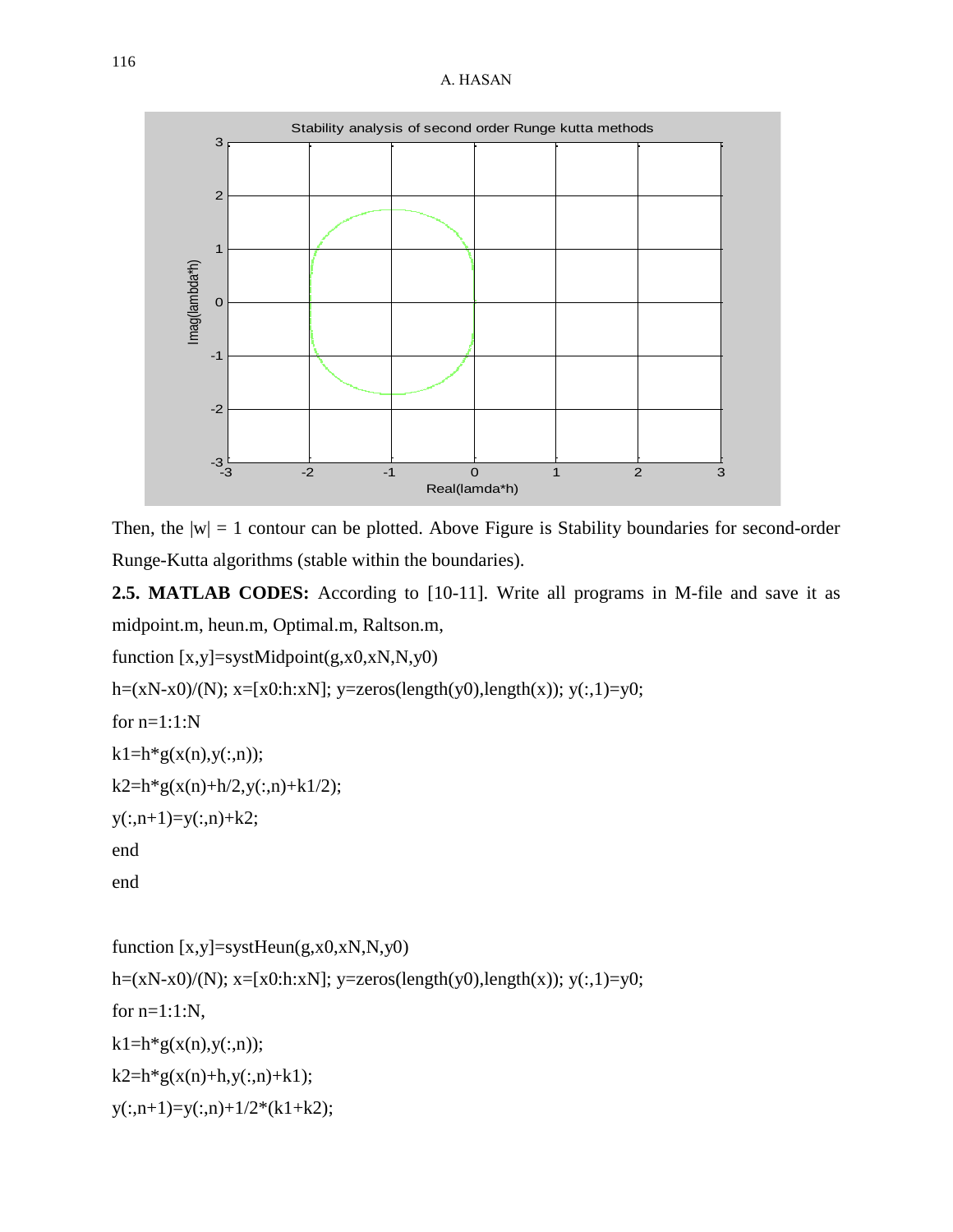#### A. HASAN



Then, the  $|w| = 1$  contour can be plotted. Above Figure is Stability boundaries for second-order Runge-Kutta algorithms (stable within the boundaries).

**2.5. MATLAB CODES:** According to [10-11]. Write all programs in M-file and save it as midpoint.m, heun.m, Optimal.m, Raltson.m,

```
function [x,y]=systMidpoint(g,x0,xN,N,y0)
```

```
h=(xN-x0)/(N); x=[x0:h:xN]; y=zeros(length(y0),length(x)); y(:,1)=y0;
```

```
for n=1:1:N
```

```
k1=h*g(x(n),y(:,n));
```

```
k2=h*g(x(n)+h/2,y(:,n)+k1/2);
```

```
y(:,n+1)=y(:,n)+k2;
```
end

end

```
function [x,y]=systHeun(g,x0,xN,N,y0)
h=(xN-x0)/(N); x=[x0:h:xN]; y=zeros(length(y0),length(x)); y(:,1)=y0;
for n=1:1:N,
k1=h*g(x(n),y(:,n));k2=h*g(x(n)+h,y(:,n)+k1);y(:,n+1)=y(:,n)+1/2*(k1+k2);
```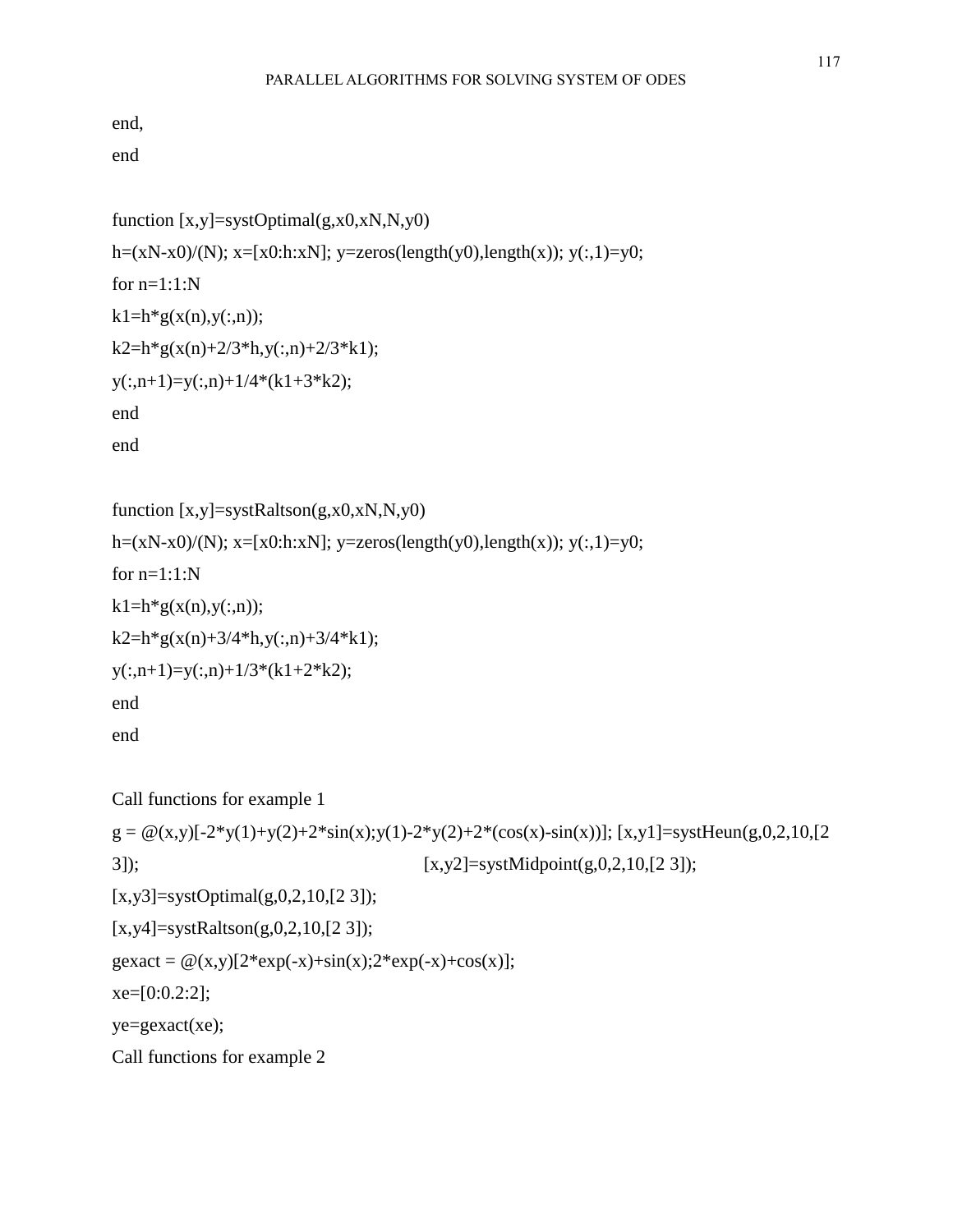end,

end

```
function [x,y]=systOptimal(g,x0,xN,N,y0)
h=(xN-x0)/(N); x=[x0:h:xN]; y=zeros(length(y0),length(x)); y(:,1)=y0;
for n=1:1:Nk1=h*g(x(n),y(:,n));k2=h*g(x(n)+2/3*h,y(:,n)+2/3*k1);y(:,n+1)=y(:,n)+1/4*(k1+3*k2);end
end
```

```
function [x,y] = systRaltson(g,x0,xN,N,y0)h=(xN-x0)/(N); x=[x0:h:xN]; y=zeros(length(y0),length(x)); y(:,1)=y0;
for n=1:1:Nk1=h*g(x(n),y(:,n));k2=h*g(x(n)+3/4*h,y(:,n)+3/4*k1);y(:,n+1)=y(:,n)+1/3*(k1+2*k2);end
end
```

```
Call functions for example 1
g = \mathcal{Q}(x,y)[-2*y(1)+y(2)+2*sin(x);y(1)-2*y(2)+2*(cos(x)-sin(x))]; [x,y1] = systHeun(g,0,2,10,[2])3]); [x,y2]=systMidpoint(g,0,2,10,[2 3]); 
[x,y3]=systOptimal(g,0,2,10,[23]);
[x,y4]=systRaltson(g,0,2,10,[2 3]);
gexact = \omega(x,y)[2*exp(-x)+sin(x);2*exp(-x)+cos(x)];xe=[0:0.2:2];ye=gexact(xe); 
Call functions for example 2
```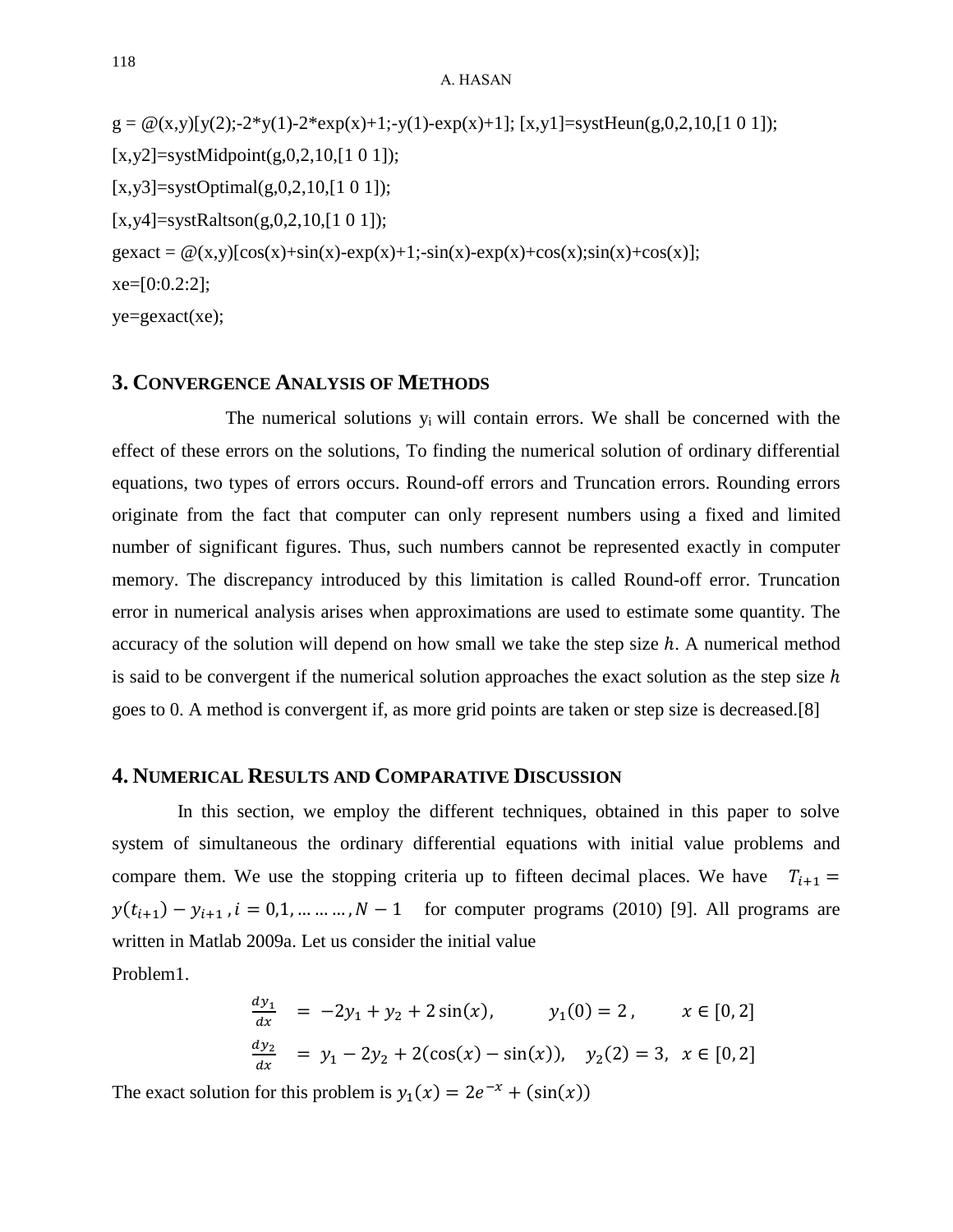$g = \mathcal{Q}(x,y)[y(2);-2*y(1)-2*exp(x)+1;-y(1)-exp(x)+1]$ ; [x,y1]=systHeun(g,0,2,10,[1 0 1]);  $[x,y2]$ =systMidpoint $(g,0,2,10, [1 0 1])$ ;  $[x,y3] = systOptimal(g,0,2,10,[1 0 1]);$  $[x,y4]$ =systRaltson $(g,0,2,10,[1\ 0\ 1]);$  $g\alpha$ act =  $\mathcal{Q}(x,y)$ [cos(x)+sin(x)-exp(x)+1;-sin(x)-exp(x)+cos(x);sin(x)+cos(x)];  $xe=[0:0.2:2];$  $ye = gexact(xe);$ 

#### **3. CONVERGENCE ANALYSIS OF METHODS**

The numerical solutions y<sub>i</sub> will contain errors. We shall be concerned with the effect of these errors on the solutions, To finding the numerical solution of ordinary differential equations, two types of errors occurs. Round-off errors and Truncation errors. Rounding errors originate from the fact that computer can only represent numbers using a fixed and limited number of significant figures. Thus, such numbers cannot be represented exactly in computer memory. The discrepancy introduced by this limitation is called Round-off error. Truncation error in numerical analysis arises when approximations are used to estimate some quantity. The accuracy of the solution will depend on how small we take the step size  $h$ . A numerical method is said to be convergent if the numerical solution approaches the exact solution as the step size  $h$ goes to 0. A method is convergent if, as more grid points are taken or step size is decreased.[8]

#### **4. NUMERICAL RESULTS AND COMPARATIVE DISCUSSION**

In this section, we employ the different techniques, obtained in this paper to solve system of simultaneous the ordinary differential equations with initial value problems and compare them. We use the stopping criteria up to fifteen decimal places. We have  $T_{i+1} =$  $y(t_{i+1}) - y_{i+1}$ ,  $i = 0, 1, ..., ..., N - 1$  for computer programs (2010) [9]. All programs are written in Matlab 2009a. Let us consider the initial value Problem1.

$$
\begin{array}{c}\n\text{1001cm1.} \\
\text{2.10cm2} \\
\text{2.10cm3} \\
\text{2.10cm3} \\
\text{2.10cm3} \\
\text{2.10cm3} \\
\text{2.10cm3} \\
\text{2.10cm3} \\
\text{2.10cm3} \\
\text{2.10cm3} \\
\text{2.10cm3} \\
\text{2.10cm3} \\
\text{2.10cm3} \\
\text{2.10cm3} \\
\text{2.10cm3} \\
\text{2.10cm3} \\
\text{2.10cm3} \\
\text{2.10cm3} \\
\text{2.10cm3} \\
\text{2.10cm3} \\
\text{2.10cm3} \\
\text{2.10cm3} \\
\text{2.10cm3} \\
\text{2.10cm3} \\
\text{2.10cm3} \\
\text{2.10cm3} \\
\text{2.10cm3} \\
\text{2.10cm3} \\
\text{2.10cm3} \\
\text{2.10cm3} \\
\text{2.10cm3} \\
\text{2.10cm3} \\
\text{2.10cm3} \\
\text{2.10cm3} \\
\text{2.10cm3} \\
\text{2.10cm3} \\
\text{2.10cm3} \\
\text{2.10cm3} \\
\text{2.10cm3} \\
\text{2.10cm3} \\
\text{2.10cm3} \\
\text{2.10cm3} \\
\text{2.10cm3} \\
\text{2.10cm3} \\
\text{2.10cm3} \\
\text{2.10cm3} \\
\text{2.10cm3} \\
\text{2.10cm3} \\
\text{2.10cm3} \\
\text{2.10cm3} \\
\text{2.10cm3} \\
\text{2.10cm3} \\
\text{2.10cm3} \\
\text{2.10cm3} \\
\text{2.10cm3} \\
\text{2.10cm3} \\
\text{2.10cm3} \\
\text{2.10cm3} \\
\text{2.10cm3} \\
\text{2.10cm3} \\
\text{2.10cm3} \\
\text{2.10cm3} \\
\text{2.10cm3} \\
\text{2.10cm3} \\
\text{2.10cm3} \\
\text{2.10cm3} \\
\text{2.10cm3} \\
\text{2.10cm3} \\
\text{
$$

 $\overline{a}$ 

$$
\frac{dy_1}{dx} = -2y_1 + y_2 + 2\sin(x), \qquad y_1(0) = 2, \qquad x \in [0, 2]
$$
  

$$
\frac{dy_2}{dx} = y_1 - 2y_2 + 2(\cos(x) - \sin(x)), \quad y_2(2) = 3, \quad x \in [0, 2]
$$

The exact solution for this problem is  $y_1(x) = 2e^{-x} + (\sin(x))$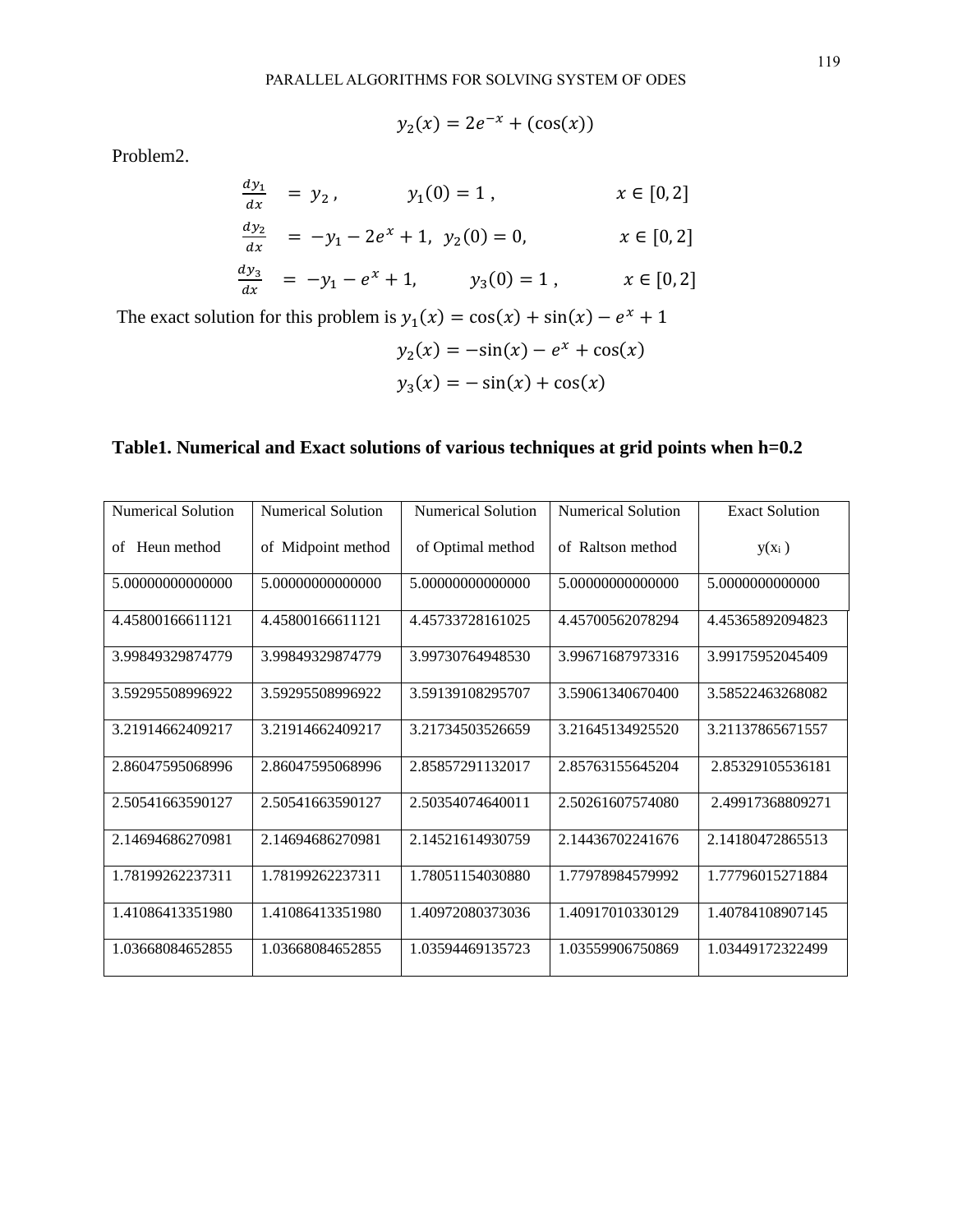$y_2$  $(x) = 2e^{-x} + (\cos(x))$ 

Problem2.

$$
\frac{dy_1}{dx} = y_2, \qquad y_1(0) = 1, \qquad x \in [0, 2]
$$
  

$$
\frac{dy_2}{dx} = -y_1 - 2e^x + 1, \ y_2(0) = 0, \qquad x \in [0, 2]
$$
  

$$
\frac{dy_3}{dx} = -y_1 - e^x + 1, \qquad y_3(0) = 1, \qquad x \in [0, 2]
$$
  
The exact solution for this problem is  $y_1(x) = \cos(x) + \sin(x) - e^x + 1$   

$$
y_2(x) = -\sin(x) - e^x + \cos(x)
$$

$$
y_3(x) = -\sin(x) + \cos(x)
$$

## **Table1. Numerical and Exact solutions of various techniques at grid points when h=0.2**

| Numerical Solution | Numerical Solution | Numerical Solution | Numerical Solution | <b>Exact Solution</b> |
|--------------------|--------------------|--------------------|--------------------|-----------------------|
| Heun method<br>of  | of Midpoint method | of Optimal method  | of Raltson method  | $y(x_i)$              |
| 5.00000000000000   | 5.00000000000000   | 5.00000000000000   | 5.00000000000000   | 5.0000000000000       |
| 4.45800166611121   | 4.45800166611121   | 4.45733728161025   | 4.45700562078294   | 4.45365892094823      |
| 3.99849329874779   | 3.99849329874779   | 3.99730764948530   | 3.99671687973316   | 3.99175952045409      |
| 3.59295508996922   | 3.59295508996922   | 3.59139108295707   | 3.59061340670400   | 3.58522463268082      |
| 3.21914662409217   | 3.21914662409217   | 3.21734503526659   | 3.21645134925520   | 3.21137865671557      |
| 2.86047595068996   | 2.86047595068996   | 2.85857291132017   | 2.85763155645204   | 2.85329105536181      |
| 2.50541663590127   | 2.50541663590127   | 2.50354074640011   | 2.50261607574080   | 2.49917368809271      |
| 2.14694686270981   | 2.14694686270981   | 2.14521614930759   | 2.14436702241676   | 2.14180472865513      |
| 1.78199262237311   | 1.78199262237311   | 1.78051154030880   | 1.77978984579992   | 1.77796015271884      |
| 1.41086413351980   | 1.41086413351980   | 1.40972080373036   | 1.40917010330129   | 1.40784108907145      |
| 1.03668084652855   | 1.03668084652855   | 1.03594469135723   | 1.03559906750869   | 1.03449172322499      |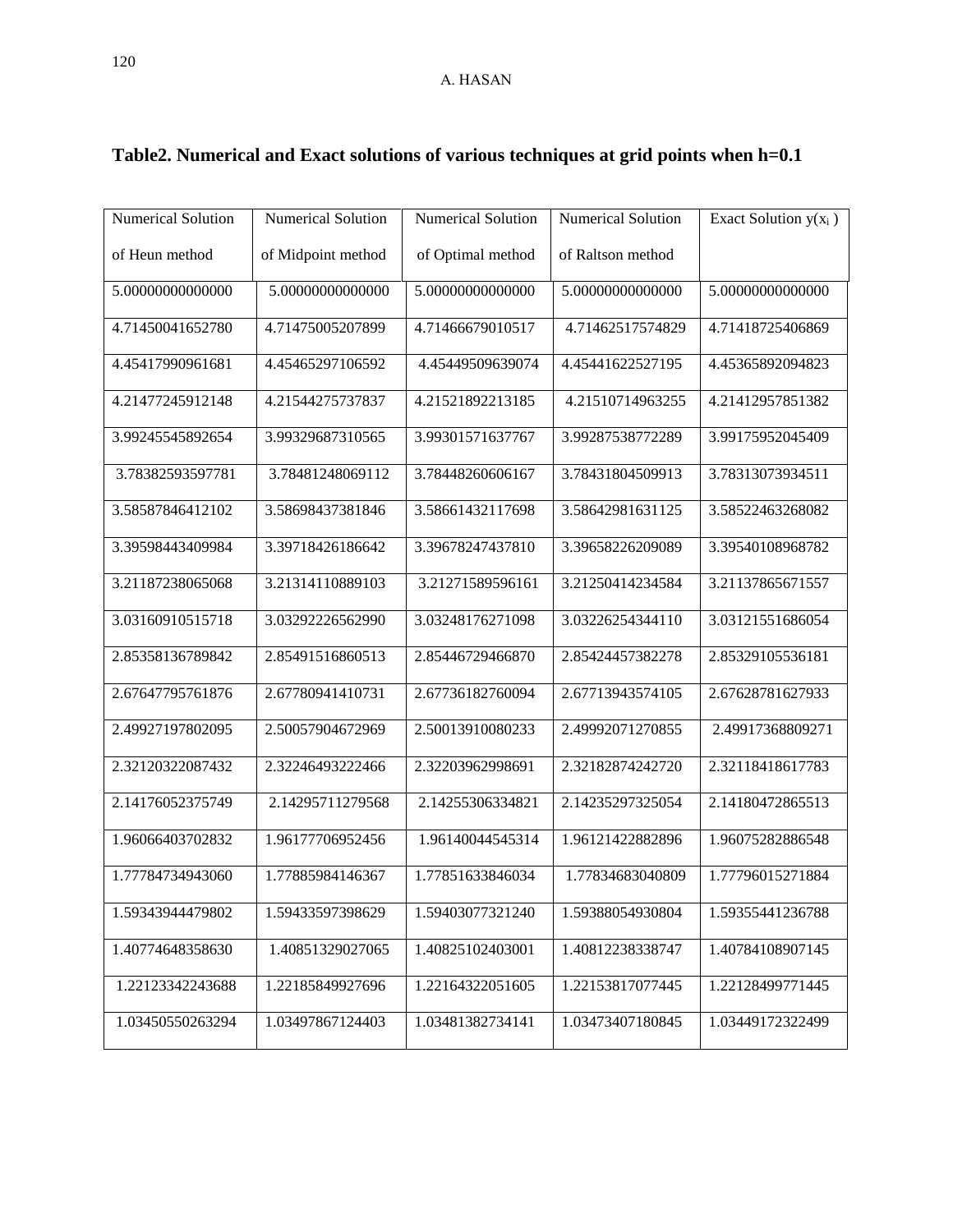| Numerical Solution | Numerical Solution | <b>Numerical Solution</b> | <b>Numerical Solution</b> | Exact Solution $y(x_i)$ |
|--------------------|--------------------|---------------------------|---------------------------|-------------------------|
| of Heun method     | of Midpoint method | of Optimal method         | of Raltson method         |                         |
| 5.00000000000000   | 5.00000000000000   | 5.00000000000000          | 5.00000000000000          | 5.00000000000000        |
| 4.71450041652780   | 4.71475005207899   | 4.71466679010517          | 4.71462517574829          | 4.71418725406869        |
| 4.45417990961681   | 4.45465297106592   | 4.45449509639074          | 4.45441622527195          | 4.45365892094823        |
| 4.21477245912148   | 4.21544275737837   | 4.21521892213185          | 4.21510714963255          | 4.21412957851382        |
| 3.99245545892654   | 3.99329687310565   | 3.99301571637767          | 3.99287538772289          | 3.99175952045409        |
| 3.78382593597781   | 3.78481248069112   | 3.78448260606167          | 3.78431804509913          | 3.78313073934511        |
| 3.58587846412102   | 3.58698437381846   | 3.58661432117698          | 3.58642981631125          | 3.58522463268082        |
| 3.39598443409984   | 3.39718426186642   | 3.39678247437810          | 3.39658226209089          | 3.39540108968782        |
| 3.21187238065068   | 3.21314110889103   | 3.21271589596161          | 3.21250414234584          | 3.21137865671557        |
| 3.03160910515718   | 3.03292226562990   | 3.03248176271098          | 3.03226254344110          | 3.03121551686054        |
| 2.85358136789842   | 2.85491516860513   | 2.85446729466870          | 2.85424457382278          | 2.85329105536181        |
| 2.67647795761876   | 2.67780941410731   | 2.67736182760094          | 2.67713943574105          | 2.67628781627933        |
| 2.49927197802095   | 2.50057904672969   | 2.50013910080233          | 2.49992071270855          | 2.49917368809271        |
| 2.32120322087432   | 2.32246493222466   | 2.32203962998691          | 2.32182874242720          | 2.32118418617783        |
| 2.14176052375749   | 2.14295711279568   | 2.14255306334821          | 2.14235297325054          | 2.14180472865513        |
| 1.96066403702832   | 1.96177706952456   | 1.96140044545314          | 1.96121422882896          | 1.96075282886548        |
| 1.77784734943060   | 1.77885984146367   | 1.77851633846034          | 1.77834683040809          | 1.77796015271884        |
| 1.59343944479802   | 1.59433597398629   | 1.59403077321240          | 1.59388054930804          | 1.59355441236788        |
| 1.40774648358630   | 1.40851329027065   | 1.40825102403001          | 1.40812238338747          | 1.40784108907145        |
| 1.22123342243688   | 1.22185849927696   | 1.22164322051605          | 1.22153817077445          | 1.22128499771445        |
| 1.03450550263294   | 1.03497867124403   | 1.03481382734141          | 1.03473407180845          | 1.03449172322499        |

# **Table2. Numerical and Exact solutions of various techniques at grid points when h=0.1**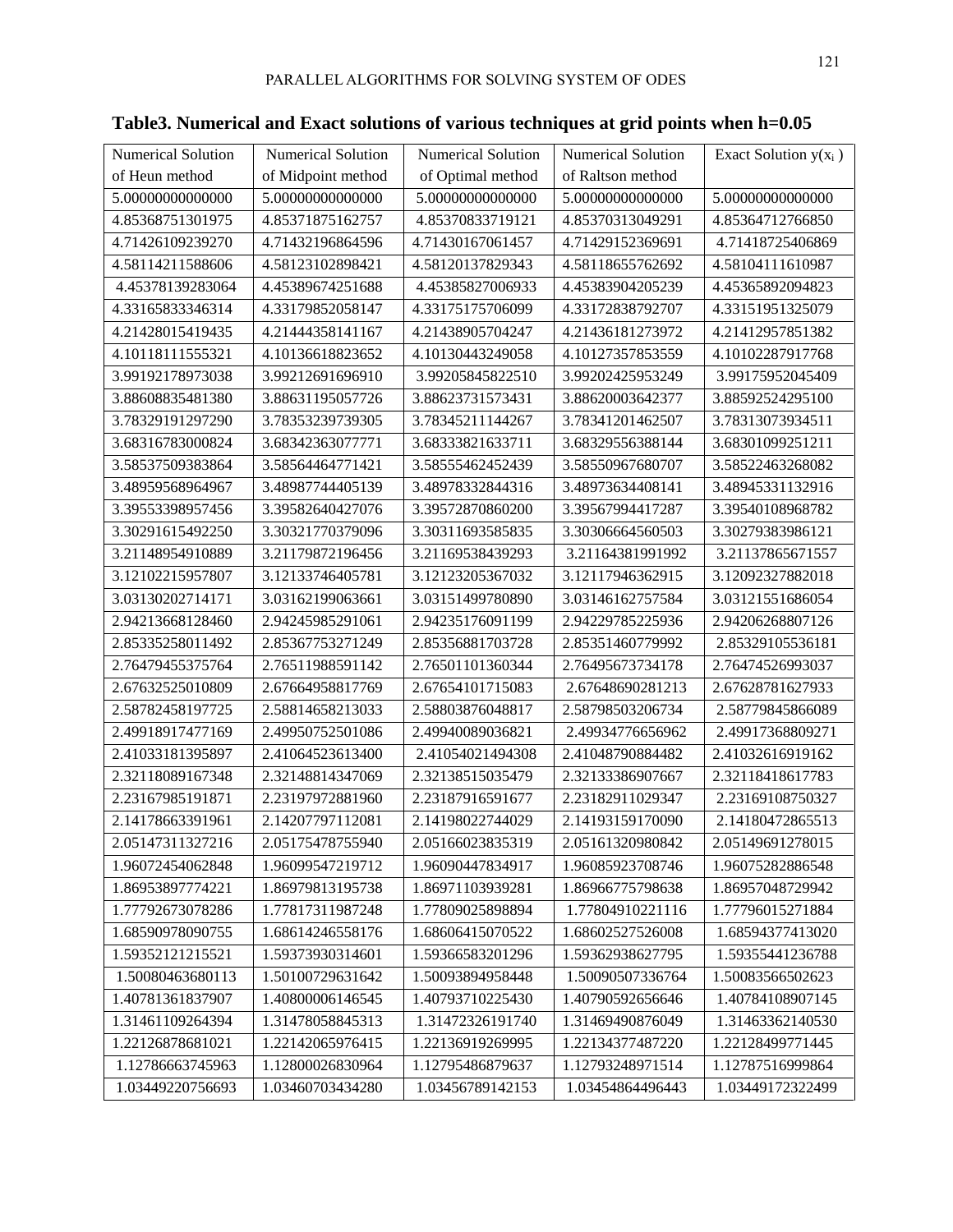| and Exact solutions of various techniques at grid points when h=0.05 |                    |                    |                         |  |  |  |
|----------------------------------------------------------------------|--------------------|--------------------|-------------------------|--|--|--|
| Numerical Solution                                                   | Numerical Solution | Numerical Solution | Exact Solution $y(x_i)$ |  |  |  |
| of Midpoint method                                                   | of Optimal method  | of Raltson method  |                         |  |  |  |
| 5.00000000000000                                                     | 5.00000000000000   | 5.00000000000000   | 5.00000000000000        |  |  |  |
| 4.85371875162757                                                     | 4.85370833719121   | 4.85370313049291   | 4.85364712766850        |  |  |  |
| 4.71432196864596                                                     | 4.71430167061457   | 4.71429152369691   | 4.71418725406869        |  |  |  |
| 4.58123102898421                                                     | 4.58120137829343   | 4.58118655762692   | 4.58104111610987        |  |  |  |
| 4.45389674251688                                                     | 4.45385827006933   | 4.45383904205239   | 4.45365892094823        |  |  |  |
| 4.33179852058147                                                     | 4.33175175706099   | 4.33172838792707   | 4.33151951325079        |  |  |  |
| 4.21444358141167                                                     | 4.21438905704247   | 4.21436181273972   | 4.21412957851382        |  |  |  |
| 4.10136618823652                                                     | 4.10130443249058   | 4.10127357853559   | 4.10102287917768        |  |  |  |

**Table3. Numerical and Exact solutions** 

| Numerical Solution | Numerical Solution | Numerical Solution | <b>Numerical Solution</b> | Exact Solution $y(x_i)$ |
|--------------------|--------------------|--------------------|---------------------------|-------------------------|
| of Heun method     | of Midpoint method | of Optimal method  | of Raltson method         |                         |
| 5.00000000000000   | 5.00000000000000   | 5.00000000000000   | 5.00000000000000          | 5.00000000000000        |
| 4.85368751301975   | 4.85371875162757   | 4.85370833719121   | 4.85370313049291          | 4.85364712766850        |
| 4.71426109239270   | 4.71432196864596   | 4.71430167061457   | 4.71429152369691          | 4.71418725406869        |
| 4.58114211588606   | 4.58123102898421   | 4.58120137829343   | 4.58118655762692          | 4.58104111610987        |
| 4.45378139283064   | 4.45389674251688   | 4.45385827006933   | 4.45383904205239          | 4.45365892094823        |
| 4.33165833346314   | 4.33179852058147   | 4.33175175706099   | 4.33172838792707          | 4.33151951325079        |
| 4.21428015419435   | 4.21444358141167   | 4.21438905704247   | 4.21436181273972          | 4.21412957851382        |
| 4.10118111555321   | 4.10136618823652   | 4.10130443249058   | 4.10127357853559          | 4.10102287917768        |
| 3.99192178973038   | 3.99212691696910   | 3.99205845822510   | 3.99202425953249          | 3.99175952045409        |
| 3.88608835481380   | 3.88631195057726   | 3.88623731573431   | 3.88620003642377          | 3.88592524295100        |
| 3.78329191297290   | 3.78353239739305   | 3.78345211144267   | 3.78341201462507          | 3.78313073934511        |
| 3.68316783000824   | 3.68342363077771   | 3.68333821633711   | 3.68329556388144          | 3.68301099251211        |
| 3.58537509383864   | 3.58564464771421   | 3.58555462452439   | 3.58550967680707          | 3.58522463268082        |
| 3.48959568964967   | 3.48987744405139   | 3.48978332844316   | 3.48973634408141          | 3.48945331132916        |
| 3.39553398957456   | 3.39582640427076   | 3.39572870860200   | 3.39567994417287          | 3.39540108968782        |
| 3.30291615492250   | 3.30321770379096   | 3.30311693585835   | 3.30306664560503          | 3.30279383986121        |
| 3.21148954910889   | 3.21179872196456   | 3.21169538439293   | 3.21164381991992          | 3.21137865671557        |
| 3.12102215957807   | 3.12133746405781   | 3.12123205367032   | 3.12117946362915          | 3.12092327882018        |
| 3.03130202714171   | 3.03162199063661   | 3.03151499780890   | 3.03146162757584          | 3.03121551686054        |
| 2.94213668128460   | 2.94245985291061   | 2.94235176091199   | 2.94229785225936          | 2.94206268807126        |
| 2.85335258011492   | 2.85367753271249   | 2.85356881703728   | 2.85351460779992          | 2.85329105536181        |
| 2.76479455375764   | 2.76511988591142   | 2.76501101360344   | 2.76495673734178          | 2.76474526993037        |
| 2.67632525010809   | 2.67664958817769   | 2.67654101715083   | 2.67648690281213          | 2.67628781627933        |
| 2.58782458197725   | 2.58814658213033   | 2.58803876048817   | 2.58798503206734          | 2.58779845866089        |
| 2.49918917477169   | 2.49950752501086   | 2.49940089036821   | 2.49934776656962          | 2.49917368809271        |
| 2.41033181395897   | 2.41064523613400   | 2.41054021494308   | 2.41048790884482          | 2.41032616919162        |
| 2.32118089167348   | 2.32148814347069   | 2.32138515035479   | 2.32133386907667          | 2.32118418617783        |
| 2.23167985191871   | 2.23197972881960   | 2.23187916591677   | 2.23182911029347          | 2.23169108750327        |
| 2.14178663391961   | 2.14207797112081   | 2.14198022744029   | 2.14193159170090          | 2.14180472865513        |
| 2.05147311327216   | 2.05175478755940   | 2.05166023835319   | 2.05161320980842          | 2.05149691278015        |
| 1.96072454062848   | 1.96099547219712   | 1.96090447834917   | 1.96085923708746          | 1.96075282886548        |
| 1.86953897774221   | 1.86979813195738   | 1.86971103939281   | 1.86966775798638          | 1.86957048729942        |
| 1.77792673078286   | 1.77817311987248   | 1.77809025898894   | 1.77804910221116          | 1.77796015271884        |
| 1.68590978090755   | 1.68614246558176   | 1.68606415070522   | 1.68602527526008          | 1.68594377413020        |
| 1.59352121215521   | 1.59373930314601   | 1.59366583201296   | 1.59362938627795          | 1.59355441236788        |
| 1.50080463680113   | 1.50100729631642   | 1.50093894958448   | 1.50090507336764          | 1.50083566502623        |
| 1.40781361837907   | 1.40800006146545   | 1.40793710225430   | 1.40790592656646          | 1.40784108907145        |
| 1.31461109264394   | 1.31478058845313   | 1.31472326191740   | 1.31469490876049          | 1.31463362140530        |
| 1.22126878681021   | 1.22142065976415   | 1.22136919269995   | 1.22134377487220          | 1.22128499771445        |
| 1.12786663745963   | 1.12800026830964   | 1.12795486879637   | 1.12793248971514          | 1.12787516999864        |
| 1.03449220756693   | 1.03460703434280   | 1.03456789142153   | 1.03454864496443          | 1.03449172322499        |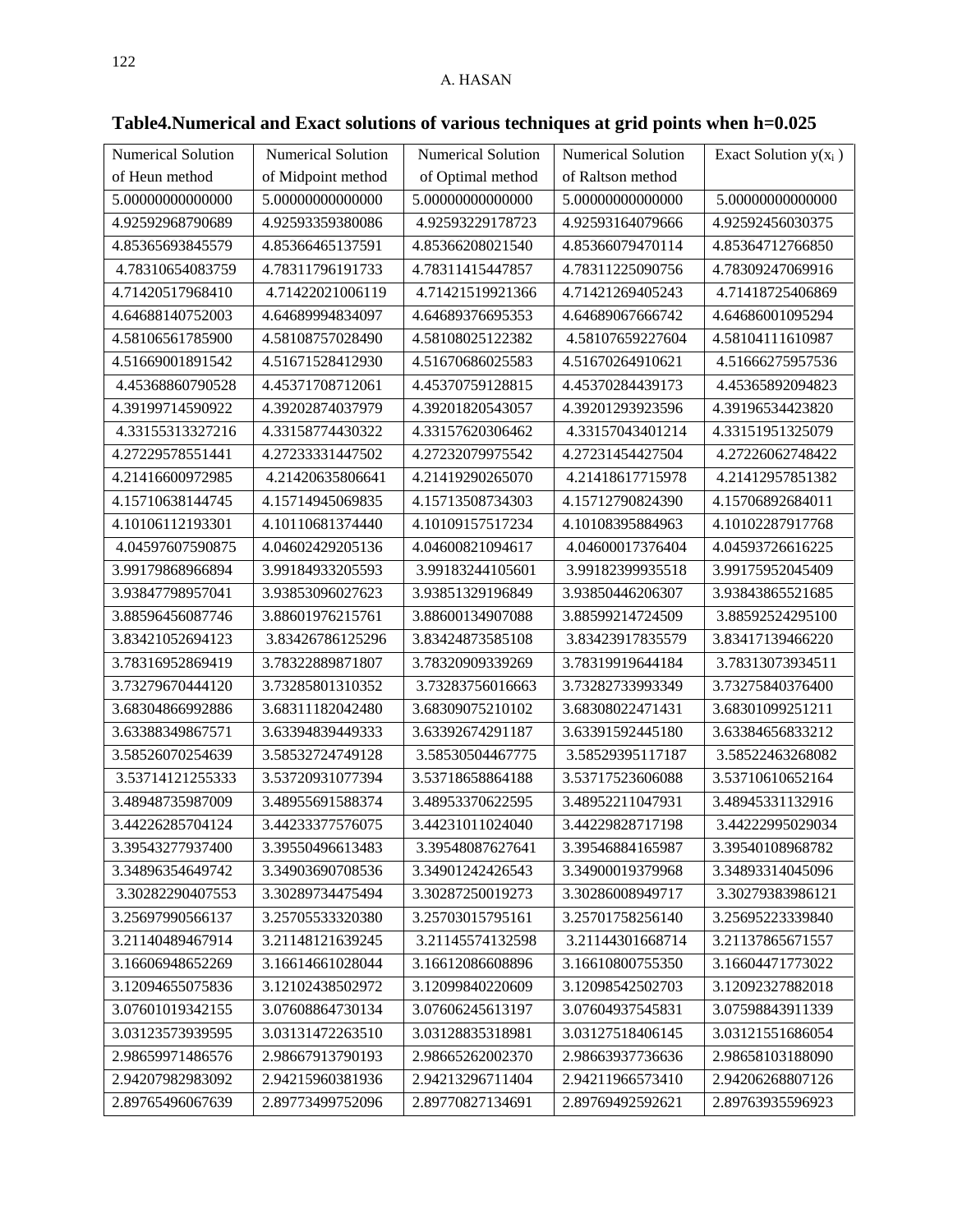| Numerical Solution | Numerical Solution | Numerical Solution                    | Numerical Solution | Exact Solution $y(x_i)$ |
|--------------------|--------------------|---------------------------------------|--------------------|-------------------------|
| of Heun method     | of Midpoint method | of Optimal method<br>5.00000000000000 | of Raltson method  |                         |
| 5.00000000000000   | 5.00000000000000   |                                       | 5.00000000000000   | 5.00000000000000        |
| 4.92592968790689   | 4.92593359380086   | 4.92593229178723                      | 4.92593164079666   | 4.92592456030375        |
| 4.85365693845579   | 4.85366465137591   | 4.85366208021540                      | 4.85366079470114   | 4.85364712766850        |
| 4.78310654083759   | 4.78311796191733   | 4.78311415447857                      | 4.78311225090756   | 4.78309247069916        |
| 4.71420517968410   | 4.71422021006119   | 4.71421519921366                      | 4.71421269405243   | 4.71418725406869        |
| 4.64688140752003   | 4.64689994834097   | 4.64689376695353                      | 4.64689067666742   | 4.64686001095294        |
| 4.58106561785900   | 4.58108757028490   | 4.58108025122382                      | 4.58107659227604   | 4.58104111610987        |
| 4.51669001891542   | 4.51671528412930   | 4.51670686025583                      | 4.51670264910621   | 4.51666275957536        |
| 4.45368860790528   | 4.45371708712061   | 4.45370759128815                      | 4.45370284439173   | 4.45365892094823        |
| 4.39199714590922   | 4.39202874037979   | 4.39201820543057                      | 4.39201293923596   | 4.39196534423820        |
| 4.33155313327216   | 4.33158774430322   | 4.33157620306462                      | 4.33157043401214   | 4.33151951325079        |
| 4.27229578551441   | 4.27233331447502   | 4.27232079975542                      | 4.27231454427504   | 4.27226062748422        |
| 4.21416600972985   | 4.21420635806641   | 4.21419290265070                      | 4.21418617715978   | 4.21412957851382        |
| 4.15710638144745   | 4.15714945069835   | 4.15713508734303                      | 4.15712790824390   | 4.15706892684011        |
| 4.10106112193301   | 4.10110681374440   | 4.10109157517234                      | 4.10108395884963   | 4.10102287917768        |
| 4.04597607590875   | 4.04602429205136   | 4.04600821094617                      | 4.04600017376404   | 4.04593726616225        |
| 3.99179868966894   | 3.99184933205593   | 3.99183244105601                      | 3.99182399935518   | 3.99175952045409        |
| 3.93847798957041   | 3.93853096027623   | 3.93851329196849                      | 3.93850446206307   | 3.93843865521685        |
| 3.88596456087746   | 3.88601976215761   | 3.88600134907088                      | 3.88599214724509   | 3.88592524295100        |
| 3.83421052694123   | 3.83426786125296   | 3.83424873585108                      | 3.83423917835579   | 3.83417139466220        |
| 3.78316952869419   | 3.78322889871807   | 3.78320909339269                      | 3.78319919644184   | 3.78313073934511        |
| 3.73279670444120   | 3.73285801310352   | 3.73283756016663                      | 3.73282733993349   | 3.73275840376400        |
| 3.68304866992886   | 3.68311182042480   | 3.68309075210102                      | 3.68308022471431   | 3.68301099251211        |
| 3.63388349867571   | 3.63394839449333   | 3.63392674291187                      | 3.63391592445180   | 3.63384656833212        |
| 3.58526070254639   | 3.58532724749128   | 3.58530504467775                      | 3.58529395117187   | 3.58522463268082        |
| 3.53714121255333   | 3.53720931077394   | 3.53718658864188                      | 3.53717523606088   | 3.53710610652164        |
| 3.48948735987009   | 3.48955691588374   | 3.48953370622595                      | 3.48952211047931   | 3.48945331132916        |
| 3.44226285704124   | 3.44233377576075   | 3.44231011024040                      | 3.44229828717198   | 3.44222995029034        |
| 3.39543277937400   | 3.39550496613483   | 3.39548087627641                      | 3.39546884165987   | 3.39540108968782        |
| 3.34896354649742   | 3.34903690708536   | 3.34901242426543                      | 3.34900019379968   | 3.34893314045096        |
| 3.30282290407553   | 3.30289734475494   | 3.30287250019273                      | 3.30286008949717   | 3.30279383986121        |
| 3.25697990566137   | 3.25705533320380   | 3.25703015795161                      | 3.25701758256140   | 3.25695223339840        |
| 3.21140489467914   | 3.21148121639245   | 3.21145574132598                      | 3.21144301668714   | 3.21137865671557        |
| 3.16606948652269   | 3.16614661028044   | 3.16612086608896                      | 3.16610800755350   | 3.16604471773022        |
| 3.12094655075836   | 3.12102438502972   | 3.12099840220609                      | 3.12098542502703   | 3.12092327882018        |
| 3.07601019342155   | 3.07608864730134   | 3.07606245613197                      | 3.07604937545831   | 3.07598843911339        |
| 3.03123573939595   | 3.03131472263510   | 3.03128835318981                      | 3.03127518406145   | 3.03121551686054        |
| 2.98659971486576   | 2.98667913790193   | 2.98665262002370                      | 2.98663937736636   | 2.98658103188090        |
| 2.94207982983092   | 2.94215960381936   | 2.94213296711404                      | 2.94211966573410   | 2.94206268807126        |
| 2.89765496067639   | 2.89773499752096   | 2.89770827134691                      | 2.89769492592621   | 2.89763935596923        |

**Table4.Numerical and Exact solutions of various techniques at grid points when h=0.025**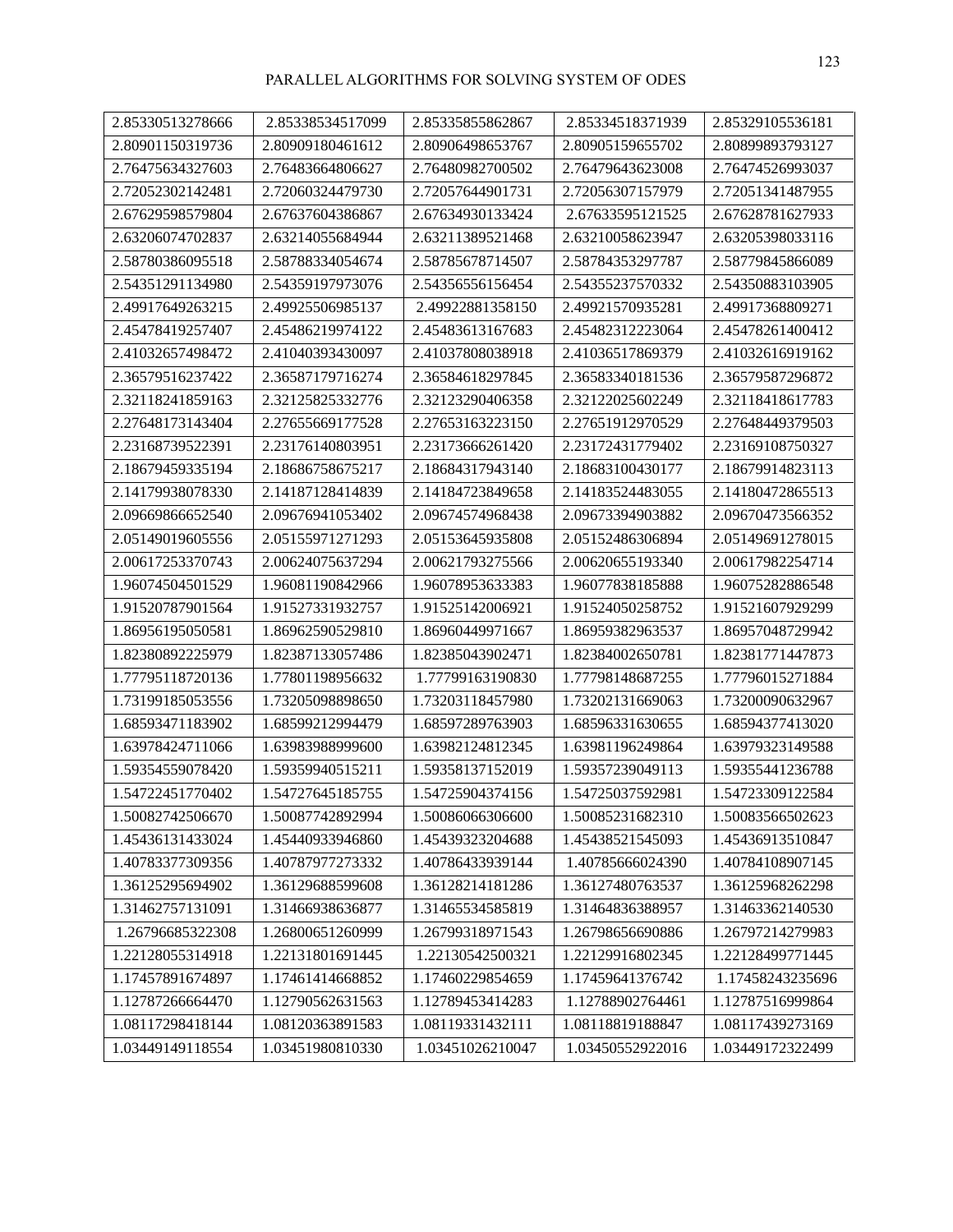| 2.85330513278666 | 2.85338534517099 | 2.85335855862867 | 2.85334518371939 | 2.85329105536181 |
|------------------|------------------|------------------|------------------|------------------|
| 2.80901150319736 | 2.80909180461612 | 2.80906498653767 | 2.80905159655702 | 2.80899893793127 |
| 2.76475634327603 | 2.76483664806627 | 2.76480982700502 | 2.76479643623008 | 2.76474526993037 |
| 2.72052302142481 | 2.72060324479730 | 2.72057644901731 | 2.72056307157979 | 2.72051341487955 |
| 2.67629598579804 | 2.67637604386867 | 2.67634930133424 | 2.67633595121525 | 2.67628781627933 |
| 2.63206074702837 | 2.63214055684944 | 2.63211389521468 | 2.63210058623947 | 2.63205398033116 |
| 2.58780386095518 | 2.58788334054674 | 2.58785678714507 | 2.58784353297787 | 2.58779845866089 |
| 2.54351291134980 | 2.54359197973076 | 2.54356556156454 | 2.54355237570332 | 2.54350883103905 |
| 2.49917649263215 | 2.49925506985137 | 2.49922881358150 | 2.49921570935281 | 2.49917368809271 |
| 2.45478419257407 | 2.45486219974122 | 2.45483613167683 | 2.45482312223064 | 2.45478261400412 |
| 2.41032657498472 | 2.41040393430097 | 2.41037808038918 | 2.41036517869379 | 2.41032616919162 |
| 2.36579516237422 | 2.36587179716274 | 2.36584618297845 | 2.36583340181536 | 2.36579587296872 |
| 2.32118241859163 | 2.32125825332776 | 2.32123290406358 | 2.32122025602249 | 2.32118418617783 |
| 2.27648173143404 | 2.27655669177528 | 2.27653163223150 | 2.27651912970529 | 2.27648449379503 |
| 2.23168739522391 | 2.23176140803951 | 2.23173666261420 | 2.23172431779402 | 2.23169108750327 |
| 2.18679459335194 | 2.18686758675217 | 2.18684317943140 | 2.18683100430177 | 2.18679914823113 |
| 2.14179938078330 | 2.14187128414839 | 2.14184723849658 | 2.14183524483055 | 2.14180472865513 |
| 2.09669866652540 | 2.09676941053402 | 2.09674574968438 | 2.09673394903882 | 2.09670473566352 |
| 2.05149019605556 | 2.05155971271293 | 2.05153645935808 | 2.05152486306894 | 2.05149691278015 |
| 2.00617253370743 | 2.00624075637294 | 2.00621793275566 | 2.00620655193340 | 2.00617982254714 |
| 1.96074504501529 | 1.96081190842966 | 1.96078953633383 | 1.96077838185888 | 1.96075282886548 |
| 1.91520787901564 | 1.91527331932757 | 1.91525142006921 | 1.91524050258752 | 1.91521607929299 |
| 1.86956195050581 | 1.86962590529810 | 1.86960449971667 | 1.86959382963537 | 1.86957048729942 |
| 1.82380892225979 | 1.82387133057486 | 1.82385043902471 | 1.82384002650781 | 1.82381771447873 |
| 1.77795118720136 | 1.77801198956632 | 1.77799163190830 | 1.77798148687255 | 1.77796015271884 |
| 1.73199185053556 | 1.73205098898650 | 1.73203118457980 | 1.73202131669063 | 1.73200090632967 |
| 1.68593471183902 | 1.68599212994479 | 1.68597289763903 | 1.68596331630655 | 1.68594377413020 |
| 1.63978424711066 | 1.63983988999600 | 1.63982124812345 | 1.63981196249864 | 1.63979323149588 |
| 1.59354559078420 | 1.59359940515211 | 1.59358137152019 | 1.59357239049113 | 1.59355441236788 |
| 1.54722451770402 | 1.54727645185755 | 1.54725904374156 | 1.54725037592981 | 1.54723309122584 |
| 1.50082742506670 | 1.50087742892994 | 1.50086066306600 | 1.50085231682310 | 1.50083566502623 |
| 1.45436131433024 | 1.45440933946860 | 1.45439323204688 | 1.45438521545093 | 1.45436913510847 |
| 1.40783377309356 | 1.40787977273332 | 1.40786433939144 | 1.40785666024390 | 1.40784108907145 |
| 1.36125295694902 | 1.36129688599608 | 1.36128214181286 | 1.36127480763537 | 1.36125968262298 |
| 1.31462757131091 | 1.31466938636877 | 1.31465534585819 | 1.31464836388957 | 1.31463362140530 |
| 1.26796685322308 | 1.26800651260999 | 1.26799318971543 | 1.26798656690886 | 1.26797214279983 |
| 1.22128055314918 | 1.22131801691445 | 1.22130542500321 | 1.22129916802345 | 1.22128499771445 |
| 1.17457891674897 | 1.17461414668852 | 1.17460229854659 | 1.17459641376742 | 1.17458243235696 |
| 1.12787266664470 | 1.12790562631563 | 1.12789453414283 | 1.12788902764461 | 1.12787516999864 |
| 1.08117298418144 | 1.08120363891583 | 1.08119331432111 | 1.08118819188847 | 1.08117439273169 |
| 1.03449149118554 | 1.03451980810330 | 1.03451026210047 | 1.03450552922016 | 1.03449172322499 |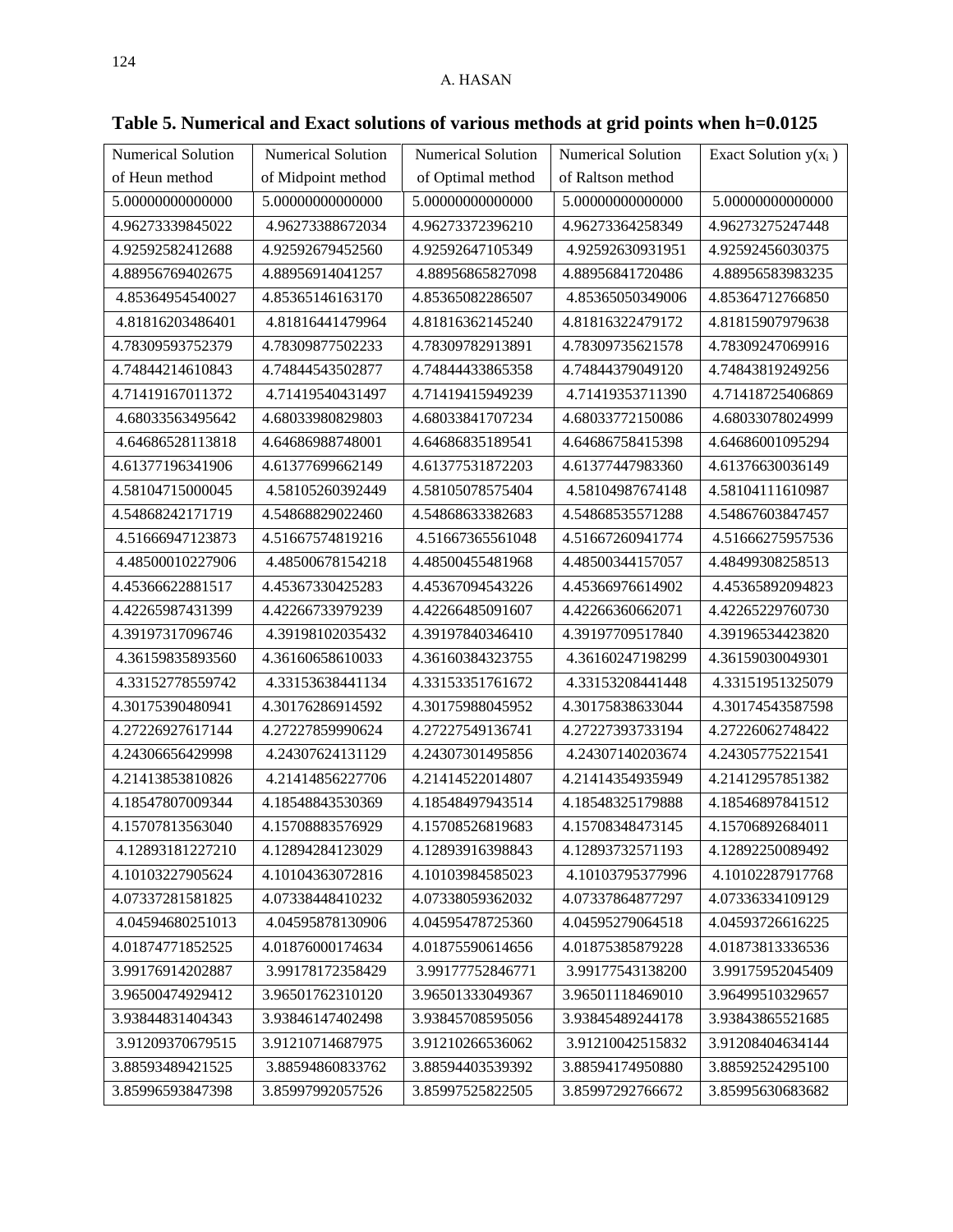| <b>Numerical Solution</b> | Numerical Solution | <b>Numerical Solution</b> | <b>Numerical Solution</b> | Exact Solution $y(x_i)$ |
|---------------------------|--------------------|---------------------------|---------------------------|-------------------------|
| of Heun method            | of Midpoint method | of Optimal method         | of Raltson method         |                         |
| 5.00000000000000          | 5.00000000000000   | 5.00000000000000          | 5.00000000000000          | 5.00000000000000        |
| 4.96273339845022          | 4.96273388672034   | 4.96273372396210          | 4.96273364258349          | 4.96273275247448        |
| 4.92592582412688          | 4.92592679452560   | 4.92592647105349          | 4.92592630931951          | 4.92592456030375        |
| 4.88956769402675          | 4.88956914041257   | 4.88956865827098          | 4.88956841720486          | 4.88956583983235        |
| 4.85364954540027          | 4.85365146163170   | 4.85365082286507          | 4.85365050349006          | 4.85364712766850        |
| 4.81816203486401          | 4.81816441479964   | 4.81816362145240          | 4.81816322479172          | 4.81815907979638        |
| 4.78309593752379          | 4.78309877502233   | 4.78309782913891          | 4.78309735621578          | 4.78309247069916        |
| 4.74844214610843          | 4.74844543502877   | 4.74844433865358          | 4.74844379049120          | 4.74843819249256        |
| 4.71419167011372          | 4.71419540431497   | 4.71419415949239          | 4.71419353711390          | 4.71418725406869        |
| 4.68033563495642          | 4.68033980829803   | 4.68033841707234          | 4.68033772150086          | 4.68033078024999        |
| 4.64686528113818          | 4.64686988748001   | 4.64686835189541          | 4.64686758415398          | 4.64686001095294        |
| 4.61377196341906          | 4.61377699662149   | 4.61377531872203          | 4.61377447983360          | 4.61376630036149        |
| 4.58104715000045          | 4.58105260392449   | 4.58105078575404          | 4.58104987674148          | 4.58104111610987        |
| 4.54868242171719          | 4.54868829022460   | 4.54868633382683          | 4.54868535571288          | 4.54867603847457        |
| 4.51666947123873          | 4.51667574819216   | 4.51667365561048          | 4.51667260941774          | 4.51666275957536        |
| 4.48500010227906          | 4.48500678154218   | 4.48500455481968          | 4.48500344157057          | 4.48499308258513        |
| 4.45366622881517          | 4.45367330425283   | 4.45367094543226          | 4.45366976614902          | 4.45365892094823        |
| 4.42265987431399          | 4.42266733979239   | 4.42266485091607          | 4.42266360662071          | 4.42265229760730        |
| 4.39197317096746          | 4.39198102035432   | 4.39197840346410          | 4.39197709517840          | 4.39196534423820        |
| 4.36159835893560          | 4.36160658610033   | 4.36160384323755          | 4.36160247198299          | 4.36159030049301        |
| 4.33152778559742          | 4.33153638441134   | 4.33153351761672          | 4.33153208441448          | 4.33151951325079        |
| 4.30175390480941          | 4.30176286914592   | 4.30175988045952          | 4.30175838633044          | 4.30174543587598        |
| 4.27226927617144          | 4.27227859990624   | 4.27227549136741          | 4.27227393733194          | 4.27226062748422        |
| 4.24306656429998          | 4.24307624131129   | 4.24307301495856          | 4.24307140203674          | 4.24305775221541        |
| 4.21413853810826          | 4.21414856227706   | 4.21414522014807          | 4.21414354935949          | 4.21412957851382        |
| 4.18547807009344          | 4.18548843530369   | 4.18548497943514          | 4.18548325179888          | 4.18546897841512        |
| 4.15707813563040          | 4.15708883576929   | 4.15708526819683          | 4.15708348473145          | 4.15706892684011        |
| 4.12893181227210          | 4.12894284123029   | 4.12893916398843          | 4.12893732571193          | 4.12892250089492        |
| 4.10103227905624          | 4.10104363072816   | 4.10103984585023          | 4.10103795377996          | 4.10102287917768        |
| 4.07337281581825          | 4.07338448410232   | 4.07338059362032          | 4.07337864877297          | 4.07336334109129        |
| 4.04594680251013          | 4.04595878130906   | 4.04595478725360          | 4.04595279064518          | 4.04593726616225        |
| 4.01874771852525          | 4.01876000174634   | 4.01875590614656          | 4.01875385879228          | 4.01873813336536        |
| 3.99176914202887          | 3.99178172358429   | 3.99177752846771          | 3.99177543138200          | 3.99175952045409        |
| 3.96500474929412          | 3.96501762310120   | 3.96501333049367          | 3.96501118469010          | 3.96499510329657        |
| 3.93844831404343          | 3.93846147402498   | 3.93845708595056          | 3.93845489244178          | 3.93843865521685        |
| 3.91209370679515          | 3.91210714687975   | 3.91210266536062          | 3.91210042515832          | 3.91208404634144        |
| 3.88593489421525          | 3.88594860833762   | 3.88594403539392          | 3.88594174950880          | 3.88592524295100        |
| 3.85996593847398          | 3.85997992057526   | 3.85997525822505          | 3.85997292766672          | 3.85995630683682        |

**Table 5. Numerical and Exact solutions of various methods at grid points when h=0.0125**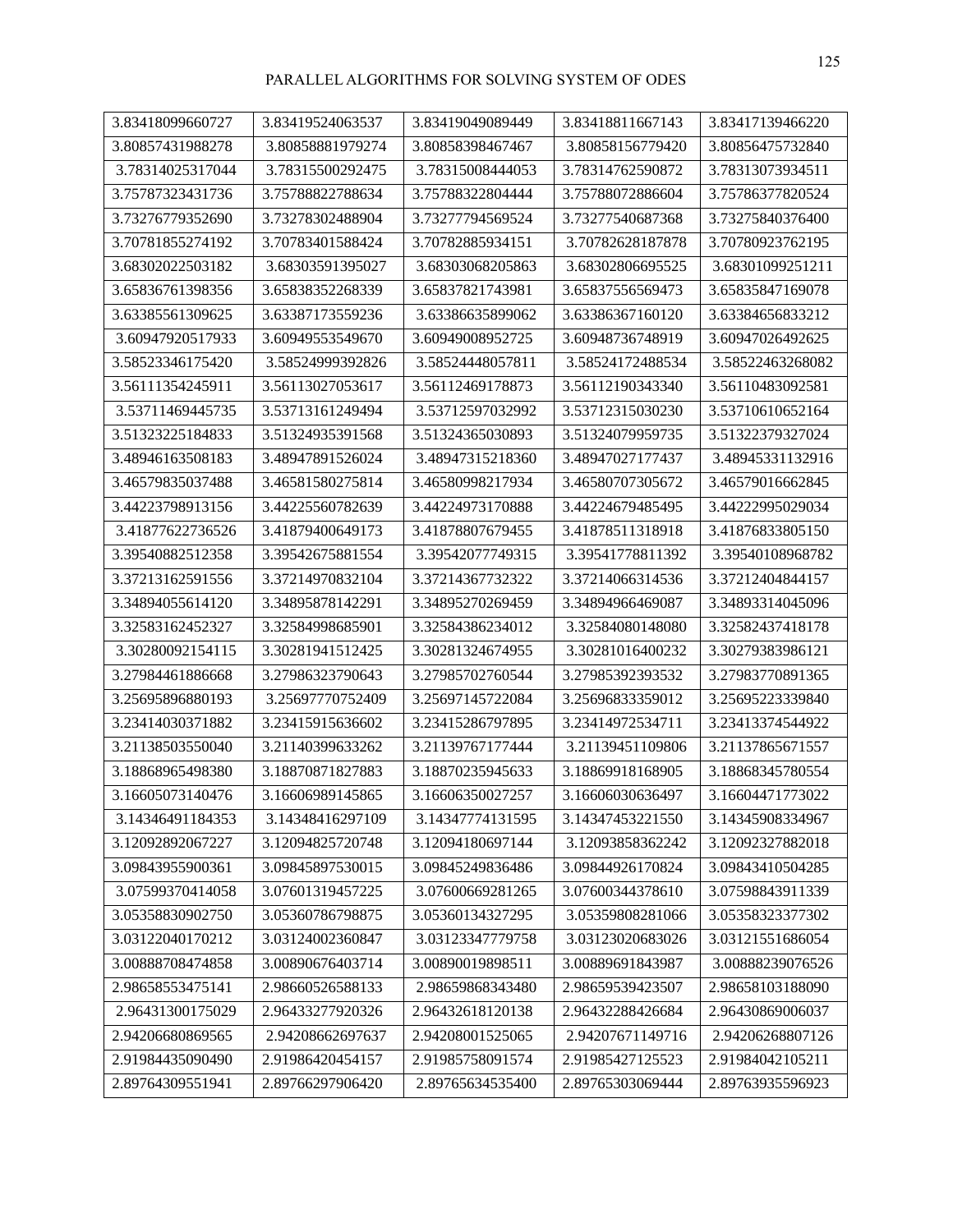| 3.83418099660727 | 3.83419524063537 | 3.83419049089449 | 3.83418811667143 | 3.83417139466220 |
|------------------|------------------|------------------|------------------|------------------|
| 3.80857431988278 | 3.80858881979274 | 3.80858398467467 | 3.80858156779420 | 3.80856475732840 |
| 3.78314025317044 | 3.78315500292475 | 3.78315008444053 | 3.78314762590872 | 3.78313073934511 |
| 3.75787323431736 | 3.75788822788634 | 3.75788322804444 | 3.75788072886604 | 3.75786377820524 |
| 3.73276779352690 | 3.73278302488904 | 3.73277794569524 | 3.73277540687368 | 3.73275840376400 |
| 3.70781855274192 | 3.70783401588424 | 3.70782885934151 | 3.70782628187878 | 3.70780923762195 |
| 3.68302022503182 | 3.68303591395027 | 3.68303068205863 | 3.68302806695525 | 3.68301099251211 |
| 3.65836761398356 | 3.65838352268339 | 3.65837821743981 | 3.65837556569473 | 3.65835847169078 |
| 3.63385561309625 | 3.63387173559236 | 3.63386635899062 | 3.63386367160120 | 3.63384656833212 |
| 3.60947920517933 | 3.60949553549670 | 3.60949008952725 | 3.60948736748919 | 3.60947026492625 |
| 3.58523346175420 | 3.58524999392826 | 3.58524448057811 | 3.58524172488534 | 3.58522463268082 |
| 3.56111354245911 | 3.56113027053617 | 3.56112469178873 | 3.56112190343340 | 3.56110483092581 |
| 3.53711469445735 | 3.53713161249494 | 3.53712597032992 | 3.53712315030230 | 3.53710610652164 |
| 3.51323225184833 | 3.51324935391568 | 3.51324365030893 | 3.51324079959735 | 3.51322379327024 |
| 3.48946163508183 | 3.48947891526024 | 3.48947315218360 | 3.48947027177437 | 3.48945331132916 |
| 3.46579835037488 | 3.46581580275814 | 3.46580998217934 | 3.46580707305672 | 3.46579016662845 |
| 3.44223798913156 | 3.44225560782639 | 3.44224973170888 | 3.44224679485495 | 3.44222995029034 |
| 3.41877622736526 | 3.41879400649173 | 3.41878807679455 | 3.41878511318918 | 3.41876833805150 |
| 3.39540882512358 | 3.39542675881554 | 3.39542077749315 | 3.39541778811392 | 3.39540108968782 |
| 3.37213162591556 | 3.37214970832104 | 3.37214367732322 | 3.37214066314536 | 3.37212404844157 |
| 3.34894055614120 | 3.34895878142291 | 3.34895270269459 | 3.34894966469087 | 3.34893314045096 |
| 3.32583162452327 | 3.32584998685901 | 3.32584386234012 | 3.32584080148080 | 3.32582437418178 |
| 3.30280092154115 | 3.30281941512425 | 3.30281324674955 | 3.30281016400232 | 3.30279383986121 |
| 3.27984461886668 | 3.27986323790643 | 3.27985702760544 | 3.27985392393532 | 3.27983770891365 |
| 3.25695896880193 | 3.25697770752409 | 3.25697145722084 | 3.25696833359012 | 3.25695223339840 |
| 3.23414030371882 | 3.23415915636602 | 3.23415286797895 | 3.23414972534711 | 3.23413374544922 |
| 3.21138503550040 | 3.21140399633262 | 3.21139767177444 | 3.21139451109806 | 3.21137865671557 |
| 3.18868965498380 | 3.18870871827883 | 3.18870235945633 | 3.18869918168905 | 3.18868345780554 |
| 3.16605073140476 | 3.16606989145865 | 3.16606350027257 | 3.16606030636497 | 3.16604471773022 |
| 3.14346491184353 | 3.14348416297109 | 3.14347774131595 | 3.14347453221550 | 3.14345908334967 |
| 3.12092892067227 | 3.12094825720748 | 3.12094180697144 | 3.12093858362242 | 3.12092327882018 |
| 3.09843955900361 | 3.09845897530015 | 3.09845249836486 | 3.09844926170824 | 3.09843410504285 |
| 3.07599370414058 | 3.07601319457225 | 3.07600669281265 | 3.07600344378610 | 3.07598843911339 |
| 3.05358830902750 | 3.05360786798875 | 3.05360134327295 | 3.05359808281066 | 3.05358323377302 |
| 3.03122040170212 | 3.03124002360847 | 3.03123347779758 | 3.03123020683026 | 3.03121551686054 |
| 3.00888708474858 | 3.00890676403714 | 3.00890019898511 | 3.00889691843987 | 3.00888239076526 |
| 2.98658553475141 | 2.98660526588133 | 2.98659868343480 | 2.98659539423507 | 2.98658103188090 |
| 2.96431300175029 | 2.96433277920326 | 2.96432618120138 | 2.96432288426684 | 2.96430869006037 |
| 2.94206680869565 | 2.94208662697637 | 2.94208001525065 | 2.94207671149716 | 2.94206268807126 |
| 2.91984435090490 | 2.91986420454157 | 2.91985758091574 | 2.91985427125523 | 2.91984042105211 |
| 2.89764309551941 | 2.89766297906420 | 2.89765634535400 | 2.89765303069444 | 2.89763935596923 |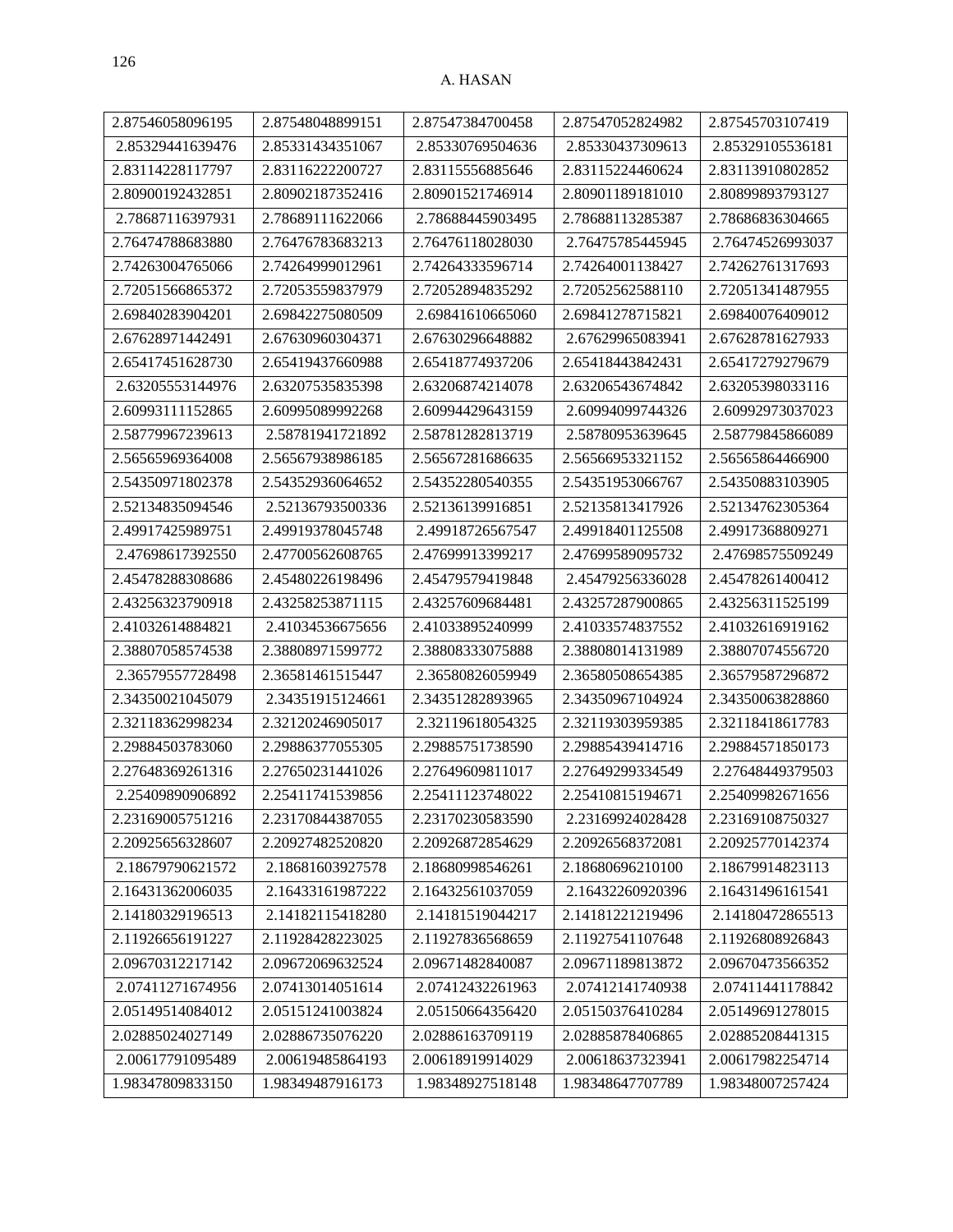| 2.87546058096195 | 2.87548048899151 | 2.87547384700458 | 2.87547052824982 | 2.87545703107419 |
|------------------|------------------|------------------|------------------|------------------|
| 2.85329441639476 | 2.85331434351067 | 2.85330769504636 | 2.85330437309613 | 2.85329105536181 |
| 2.83114228117797 | 2.83116222200727 | 2.83115556885646 | 2.83115224460624 | 2.83113910802852 |
| 2.80900192432851 | 2.80902187352416 | 2.80901521746914 | 2.80901189181010 | 2.80899893793127 |
| 2.78687116397931 | 2.78689111622066 | 2.78688445903495 | 2.78688113285387 | 2.78686836304665 |
| 2.76474788683880 | 2.76476783683213 | 2.76476118028030 | 2.76475785445945 | 2.76474526993037 |
| 2.74263004765066 | 2.74264999012961 | 2.74264333596714 | 2.74264001138427 | 2.74262761317693 |
| 2.72051566865372 | 2.72053559837979 | 2.72052894835292 | 2.72052562588110 | 2.72051341487955 |
| 2.69840283904201 | 2.69842275080509 | 2.69841610665060 | 2.69841278715821 | 2.69840076409012 |
| 2.67628971442491 | 2.67630960304371 | 2.67630296648882 | 2.67629965083941 | 2.67628781627933 |
| 2.65417451628730 | 2.65419437660988 | 2.65418774937206 | 2.65418443842431 | 2.65417279279679 |
| 2.63205553144976 | 2.63207535835398 | 2.63206874214078 | 2.63206543674842 | 2.63205398033116 |
| 2.60993111152865 | 2.60995089992268 | 2.60994429643159 | 2.60994099744326 | 2.60992973037023 |
| 2.58779967239613 | 2.58781941721892 | 2.58781282813719 | 2.58780953639645 | 2.58779845866089 |
| 2.56565969364008 | 2.56567938986185 | 2.56567281686635 | 2.56566953321152 | 2.56565864466900 |
| 2.54350971802378 | 2.54352936064652 | 2.54352280540355 | 2.54351953066767 | 2.54350883103905 |
| 2.52134835094546 | 2.52136793500336 | 2.52136139916851 | 2.52135813417926 | 2.52134762305364 |
| 2.49917425989751 | 2.49919378045748 | 2.49918726567547 | 2.49918401125508 | 2.49917368809271 |
| 2.47698617392550 | 2.47700562608765 | 2.47699913399217 | 2.47699589095732 | 2.47698575509249 |
| 2.45478288308686 | 2.45480226198496 | 2.45479579419848 | 2.45479256336028 | 2.45478261400412 |
| 2.43256323790918 | 2.43258253871115 | 2.43257609684481 | 2.43257287900865 | 2.43256311525199 |
| 2.41032614884821 | 2.41034536675656 | 2.41033895240999 | 2.41033574837552 | 2.41032616919162 |
| 2.38807058574538 | 2.38808971599772 | 2.38808333075888 | 2.38808014131989 | 2.38807074556720 |
| 2.36579557728498 | 2.36581461515447 | 2.36580826059949 | 2.36580508654385 | 2.36579587296872 |
| 2.34350021045079 | 2.34351915124661 | 2.34351282893965 | 2.34350967104924 | 2.34350063828860 |
| 2.32118362998234 | 2.32120246905017 | 2.32119618054325 | 2.32119303959385 | 2.32118418617783 |
| 2.29884503783060 | 2.29886377055305 | 2.29885751738590 | 2.29885439414716 | 2.29884571850173 |
| 2.27648369261316 | 2.27650231441026 | 2.27649609811017 | 2.27649299334549 | 2.27648449379503 |
| 2.25409890906892 | 2.25411741539856 | 2.25411123748022 | 2.25410815194671 | 2.25409982671656 |
| 2.23169005751216 | 2.23170844387055 | 2.23170230583590 | 2.23169924028428 | 2.23169108750327 |
| 2.20925656328607 | 2.20927482520820 | 2.20926872854629 | 2.20926568372081 | 2.20925770142374 |
| 2.18679790621572 | 2.18681603927578 | 2.18680998546261 | 2.18680696210100 | 2.18679914823113 |
| 2.16431362006035 | 2.16433161987222 | 2.16432561037059 | 2.16432260920396 | 2.16431496161541 |
| 2.14180329196513 | 2.14182115418280 | 2.14181519044217 | 2.14181221219496 | 2.14180472865513 |
| 2.11926656191227 | 2.11928428223025 | 2.11927836568659 | 2.11927541107648 | 2.11926808926843 |
| 2.09670312217142 | 2.09672069632524 | 2.09671482840087 | 2.09671189813872 | 2.09670473566352 |
| 2.07411271674956 | 2.07413014051614 | 2.07412432261963 | 2.07412141740938 | 2.07411441178842 |
| 2.05149514084012 | 2.05151241003824 | 2.05150664356420 | 2.05150376410284 | 2.05149691278015 |
| 2.02885024027149 | 2.02886735076220 | 2.02886163709119 | 2.02885878406865 | 2.02885208441315 |
| 2.00617791095489 | 2.00619485864193 | 2.00618919914029 | 2.00618637323941 | 2.00617982254714 |
| 1.98347809833150 | 1.98349487916173 | 1.98348927518148 | 1.98348647707789 | 1.98348007257424 |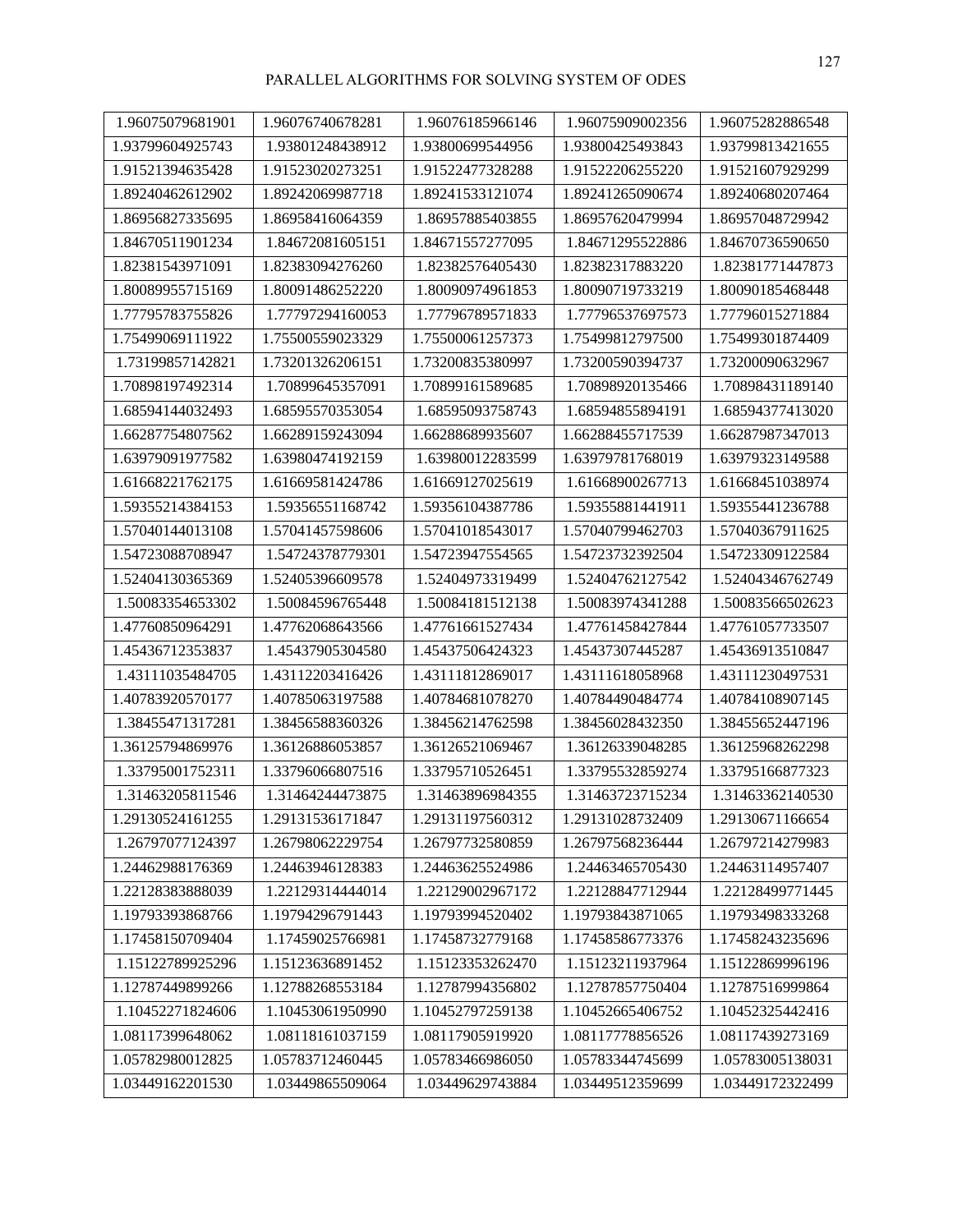| 1.96075079681901 | 1.96076740678281 | 1.96076185966146 | 1.96075909002356 | 1.96075282886548 |
|------------------|------------------|------------------|------------------|------------------|
| 1.93799604925743 | 1.93801248438912 | 1.93800699544956 | 1.93800425493843 | 1.93799813421655 |
| 1.91521394635428 | 1.91523020273251 | 1.91522477328288 | 1.91522206255220 | 1.91521607929299 |
| 1.89240462612902 | 1.89242069987718 | 1.89241533121074 | 1.89241265090674 | 1.89240680207464 |
| 1.86956827335695 | 1.86958416064359 | 1.86957885403855 | 1.86957620479994 | 1.86957048729942 |
| 1.84670511901234 | 1.84672081605151 | 1.84671557277095 | 1.84671295522886 | 1.84670736590650 |
| 1.82381543971091 | 1.82383094276260 | 1.82382576405430 | 1.82382317883220 | 1.82381771447873 |
| 1.80089955715169 | 1.80091486252220 | 1.80090974961853 | 1.80090719733219 | 1.80090185468448 |
| 1.77795783755826 | 1.77797294160053 | 1.77796789571833 | 1.77796537697573 | 1.77796015271884 |
| 1.75499069111922 | 1.75500559023329 | 1.75500061257373 | 1.75499812797500 | 1.75499301874409 |
| 1.73199857142821 | 1.73201326206151 | 1.73200835380997 | 1.73200590394737 | 1.73200090632967 |
| 1.70898197492314 | 1.70899645357091 | 1.70899161589685 | 1.70898920135466 | 1.70898431189140 |
| 1.68594144032493 | 1.68595570353054 | 1.68595093758743 | 1.68594855894191 | 1.68594377413020 |
| 1.66287754807562 | 1.66289159243094 | 1.66288689935607 | 1.66288455717539 | 1.66287987347013 |
| 1.63979091977582 | 1.63980474192159 | 1.63980012283599 | 1.63979781768019 | 1.63979323149588 |
| 1.61668221762175 | 1.61669581424786 | 1.61669127025619 | 1.61668900267713 | 1.61668451038974 |
| 1.59355214384153 | 1.59356551168742 | 1.59356104387786 | 1.59355881441911 | 1.59355441236788 |
| 1.57040144013108 | 1.57041457598606 | 1.57041018543017 | 1.57040799462703 | 1.57040367911625 |
| 1.54723088708947 | 1.54724378779301 | 1.54723947554565 | 1.54723732392504 | 1.54723309122584 |
| 1.52404130365369 | 1.52405396609578 | 1.52404973319499 | 1.52404762127542 | 1.52404346762749 |
| 1.50083354653302 | 1.50084596765448 | 1.50084181512138 | 1.50083974341288 | 1.50083566502623 |
| 1.47760850964291 | 1.47762068643566 | 1.47761661527434 | 1.47761458427844 | 1.47761057733507 |
| 1.45436712353837 | 1.45437905304580 | 1.45437506424323 | 1.45437307445287 | 1.45436913510847 |
| 1.43111035484705 | 1.43112203416426 | 1.43111812869017 | 1.43111618058968 | 1.43111230497531 |
| 1.40783920570177 | 1.40785063197588 | 1.40784681078270 | 1.40784490484774 | 1.40784108907145 |
| 1.38455471317281 | 1.38456588360326 | 1.38456214762598 | 1.38456028432350 | 1.38455652447196 |
| 1.36125794869976 | 1.36126886053857 | 1.36126521069467 | 1.36126339048285 | 1.36125968262298 |
| 1.33795001752311 | 1.33796066807516 | 1.33795710526451 | 1.33795532859274 | 1.33795166877323 |
| 1.31463205811546 | 1.31464244473875 | 1.31463896984355 | 1.31463723715234 | 1.31463362140530 |
| 1.29130524161255 | 1.29131536171847 | 1.29131197560312 | 1.29131028732409 | 1.29130671166654 |
| 1.26797077124397 | 1.26798062229754 | 1.26797732580859 | 1.26797568236444 | 1.26797214279983 |
| 1.24462988176369 | 1.24463946128383 | 1.24463625524986 | 1.24463465705430 | 1.24463114957407 |
| 1.22128383888039 | 1.22129314444014 | 1.22129002967172 | 1.22128847712944 | 1.22128499771445 |
| 1.19793393868766 | 1.19794296791443 | 1.19793994520402 | 1.19793843871065 | 1.19793498333268 |
| 1.17458150709404 | 1.17459025766981 | 1.17458732779168 | 1.17458586773376 | 1.17458243235696 |
| 1.15122789925296 | 1.15123636891452 | 1.15123353262470 | 1.15123211937964 | 1.15122869996196 |
| 1.12787449899266 | 1.12788268553184 | 1.12787994356802 | 1.12787857750404 | 1.12787516999864 |
| 1.10452271824606 | 1.10453061950990 | 1.10452797259138 | 1.10452665406752 | 1.10452325442416 |
| 1.08117399648062 | 1.08118161037159 | 1.08117905919920 | 1.08117778856526 | 1.08117439273169 |
| 1.05782980012825 | 1.05783712460445 | 1.05783466986050 | 1.05783344745699 | 1.05783005138031 |
| 1.03449162201530 | 1.03449865509064 | 1.03449629743884 | 1.03449512359699 | 1.03449172322499 |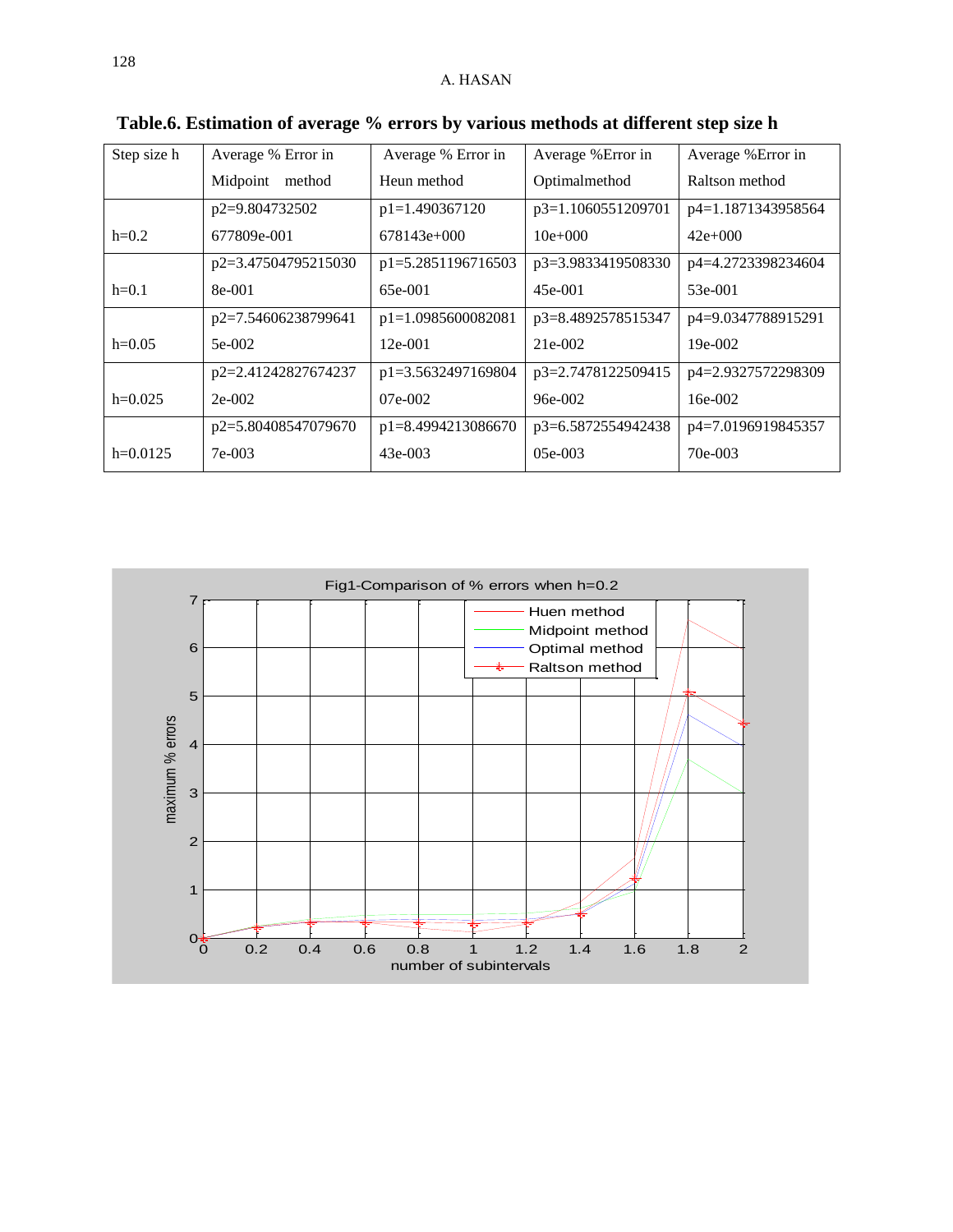| Step size h | Average % Error in  | Average % Error in | Average % Error in | Average % Error in |
|-------------|---------------------|--------------------|--------------------|--------------------|
|             | Midpoint method     | Heun method        | Optimalmethod      | Raltson method     |
|             | p2=9.804732502      | $p1=1.490367120$   | p3=1.1060551209701 | p4=1.1871343958564 |
| $h=0.2$     | 677809e-001         | $678143e+000$      | $10e+000$          | $42e+000$          |
|             | p2=3.47504795215030 | p1=5.2851196716503 | p3=3.9833419508330 | p4=4.2723398234604 |
| $h=0.1$     | 8e-001              | 65e-001            | $45e-001$          | 53e-001            |
|             | p2=7.54606238799641 | p1=1.0985600082081 | p3=8.4892578515347 | p4=9.0347788915291 |
| $h=0.05$    | 5e-002              | $12e-001$          | 21e-002            | 19e-002            |
|             | p2=2.41242827674237 | p1=3.5632497169804 | p3=2.7478122509415 | p4=2.9327572298309 |
| $h=0.025$   | $2e-002$            | 07e-002            | $96e-002$          | $16e-002$          |
|             | p2=5.80408547079670 | p1=8.4994213086670 | p3=6.5872554942438 | p4=7.0196919845357 |
| $h=0.0125$  | 7e-003              | $43e-003$          | $05e-003$          | 70e-003            |

**Table.6. Estimation of average % errors by various methods at different step size h** 

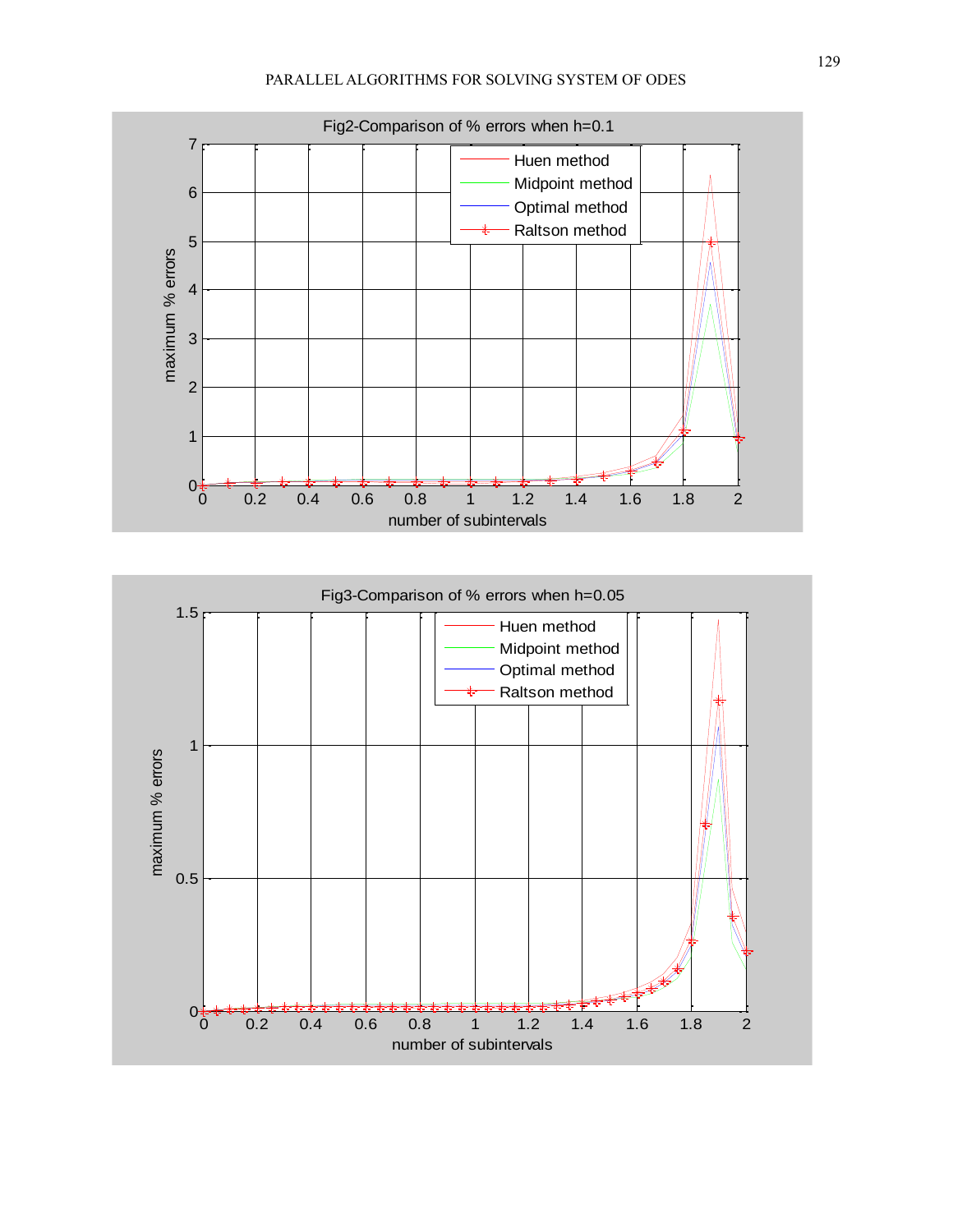

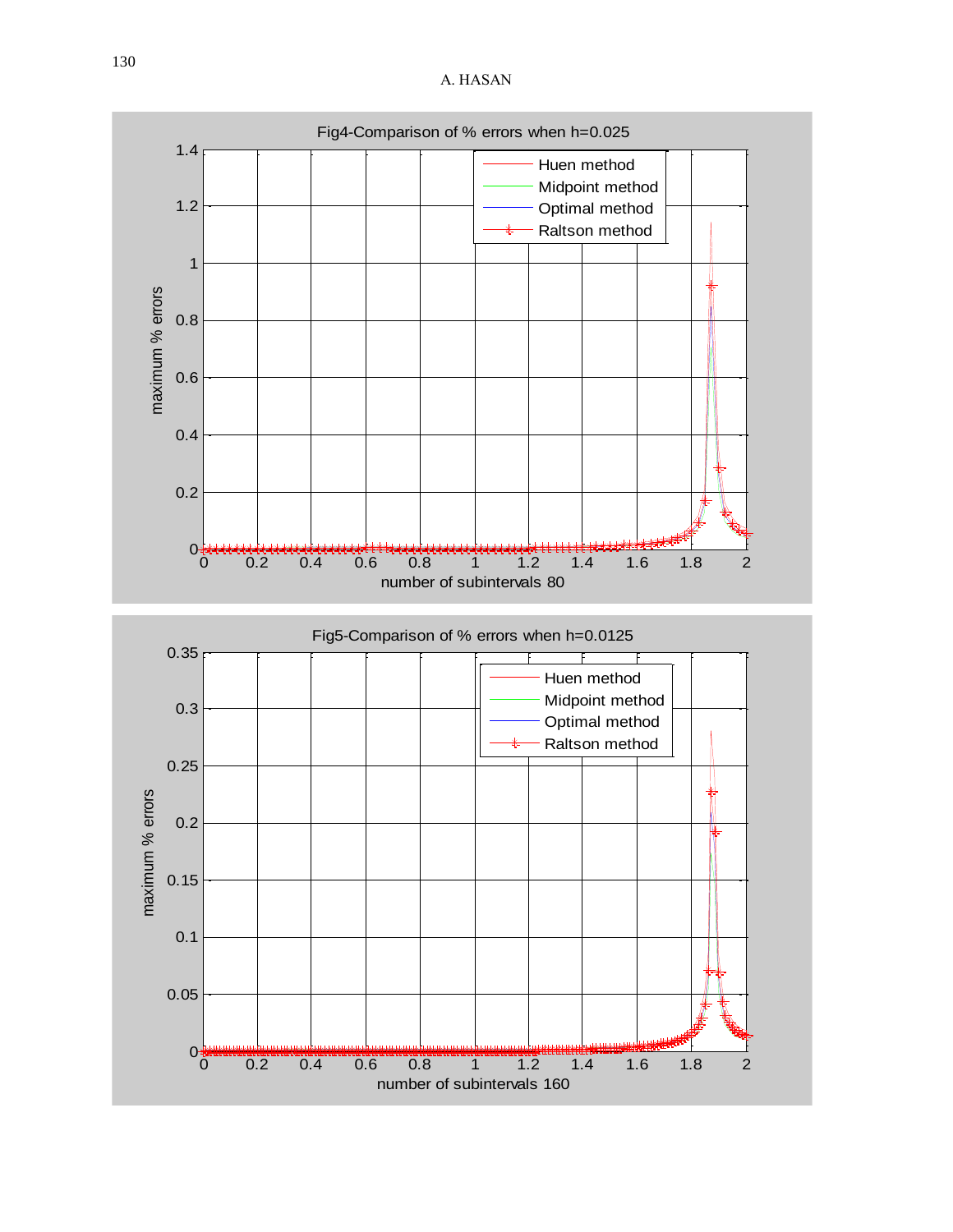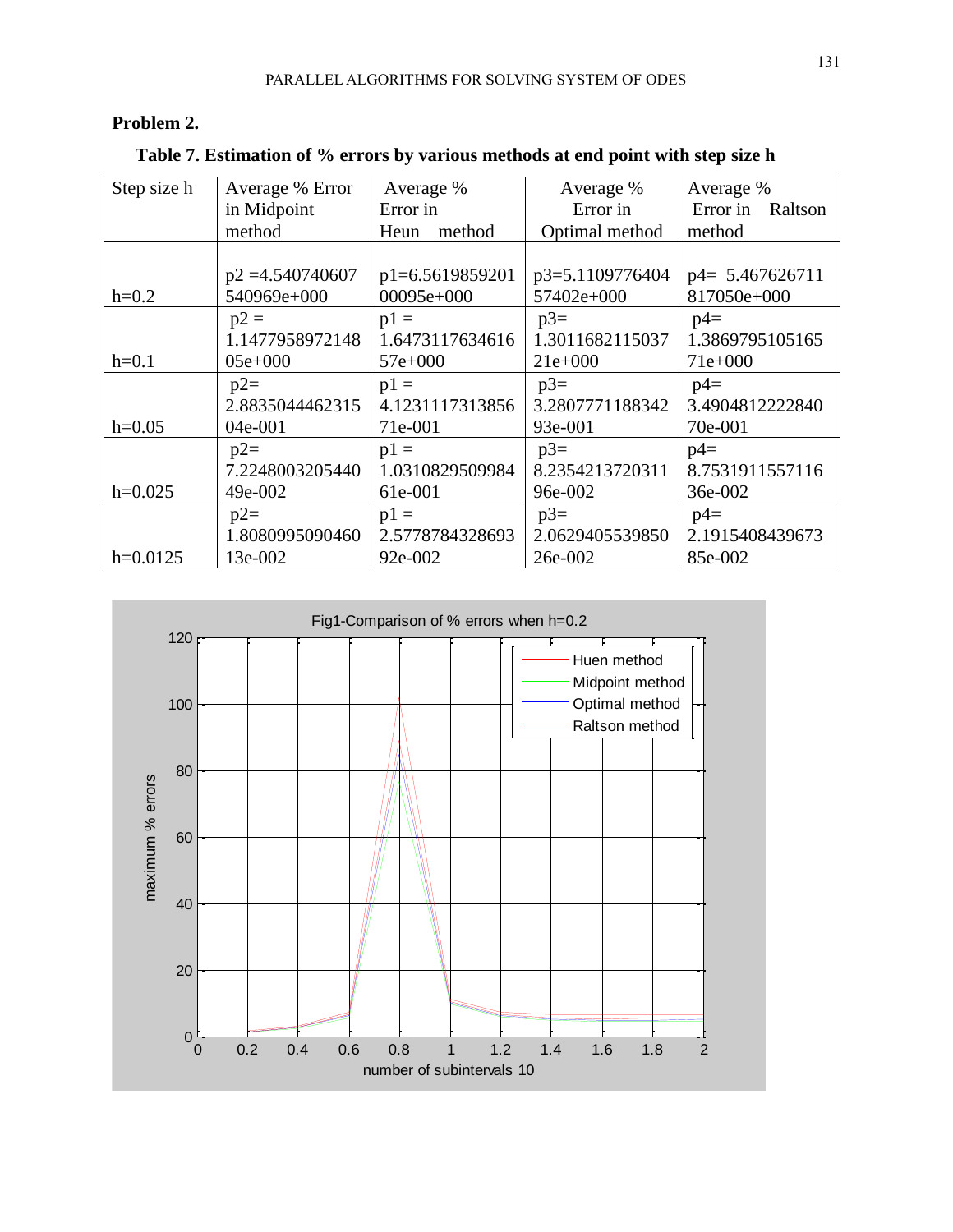# **Problem 2.**

 **Table 7. Estimation of % errors by various methods at end point with step size h**

| Step size h | Average % Error    | Average %       | Average %       | Average %        |
|-------------|--------------------|-----------------|-----------------|------------------|
|             | in Midpoint        | Error in        | Error in        | Error in Raltson |
|             | method             | Heun method     | Optimal method  | method           |
|             |                    |                 |                 |                  |
|             | $p2 = 4.540740607$ | p1=6.5619859201 | p3=5.1109776404 | p4= 5.467626711  |
| $h=0.2$     | 540969e+000        | 00095e+000      | 57402e+000      | 817050e+000      |
|             | $p2 =$             | $p1 =$          | $p3=$           | $p4=$            |
|             | 1.1477958972148    | 1.6473117634616 | 1.3011682115037 | 1.3869795105165  |
| $h=0.1$     | $05e+000$          | $57e+000$       | $21e+000$       | $71e+000$        |
|             | $p2=$              | $p1 =$          | $p3=$           | $p4=$            |
|             | 2.8835044462315    | 4.1231117313856 | 3.2807771188342 | 3.4904812222840  |
| $h=0.05$    | 04e-001            | 71e-001         | 93e-001         | 70e-001          |
|             | $p2=$              | $p1 =$          | $p3=$           | $p4=$            |
|             | 7.2248003205440    | 1.0310829509984 | 8.2354213720311 | 8.7531911557116  |
| $h=0.025$   | 49e-002            | 61e-001         | 96e-002         | 36e-002          |
|             | $p2=$              | $p1 =$          | $p3=$           | $p4=$            |
|             | 1.8080995090460    | 2.5778784328693 | 2.0629405539850 | 2.1915408439673  |
| $h=0.0125$  | 13e-002            | 92e-002         | 26e-002         | 85e-002          |

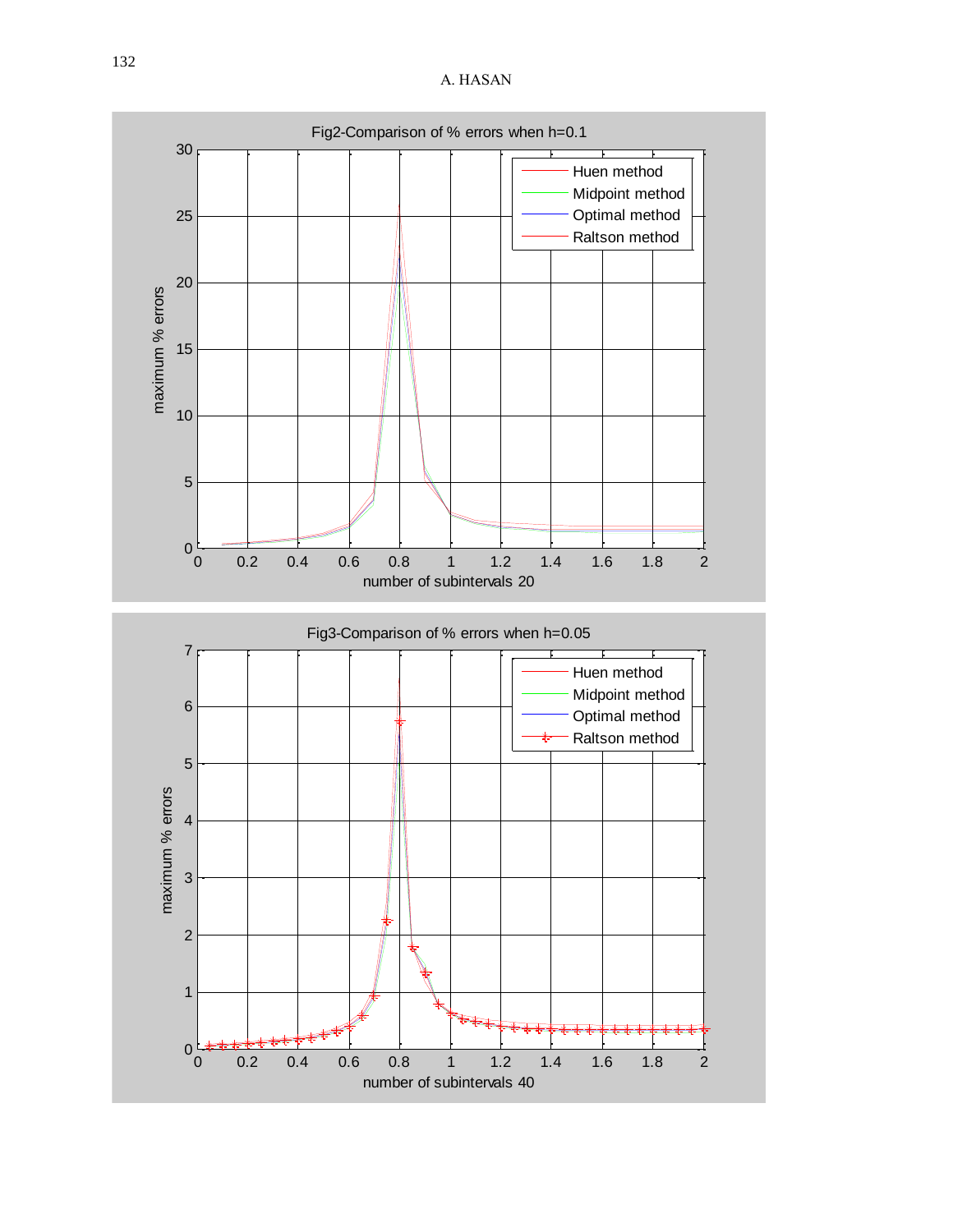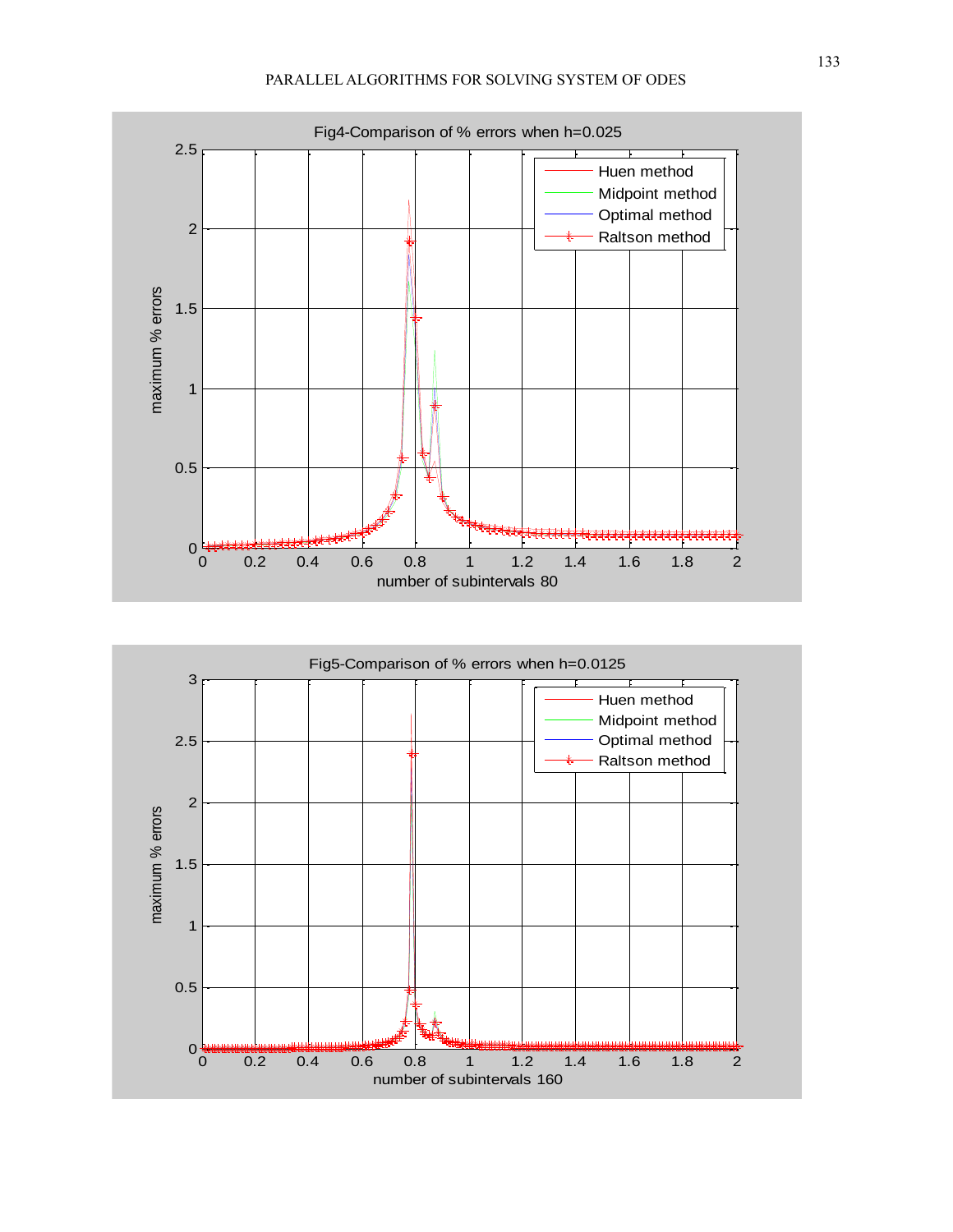

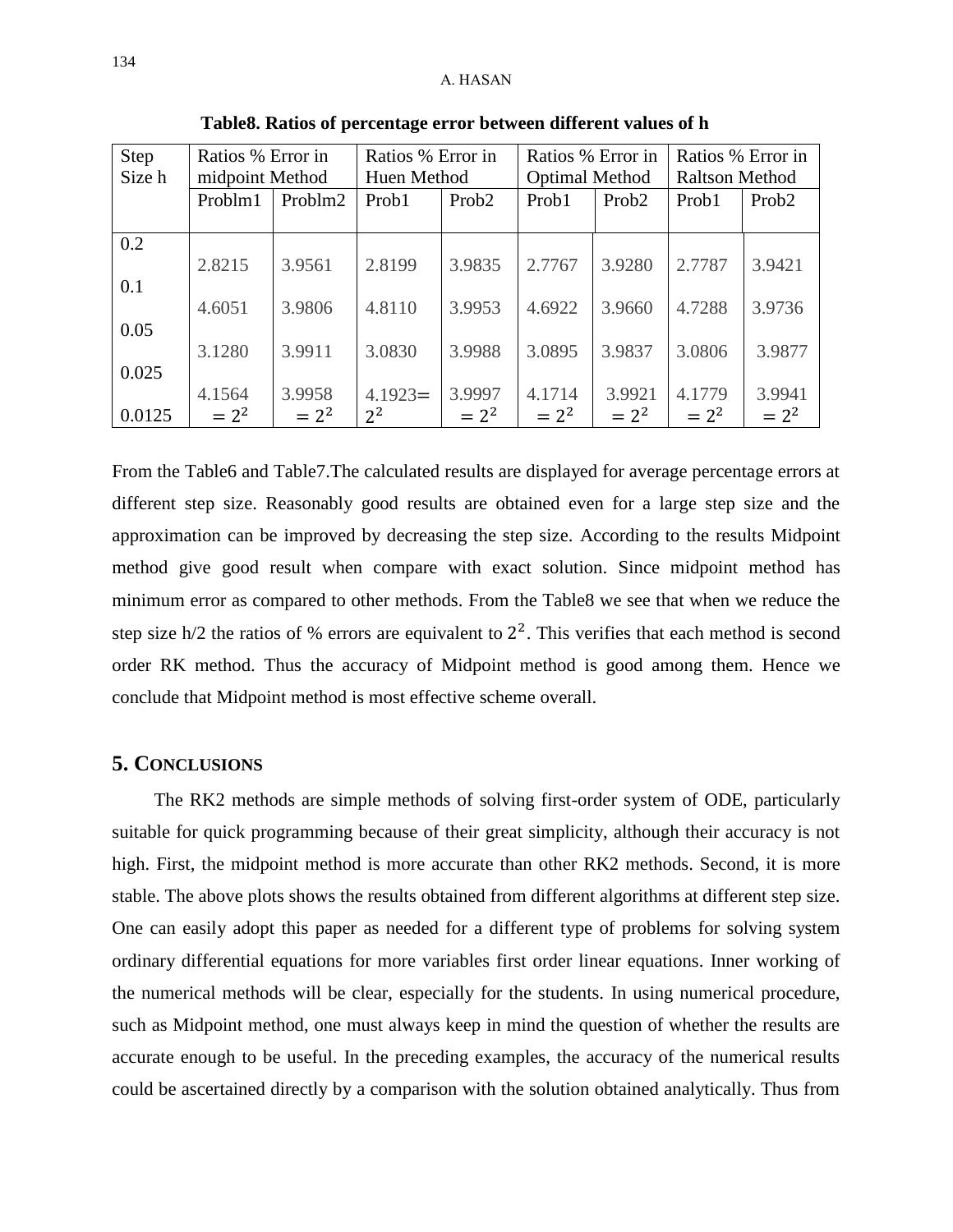| Step<br>Size h | Ratios % Error in<br>midpoint Method |         | Ratios % Error in<br>Huen Method |                   | Ratios % Error in<br><b>Optimal Method</b> |                   | Ratios % Error in<br><b>Raltson Method</b> |                   |
|----------------|--------------------------------------|---------|----------------------------------|-------------------|--------------------------------------------|-------------------|--------------------------------------------|-------------------|
|                | Problm1                              | Problm2 | Prob1                            | Prob <sub>2</sub> | Prob1                                      | Prob <sub>2</sub> | Prob1                                      | Prob <sub>2</sub> |
| 0.2            |                                      |         |                                  |                   |                                            |                   |                                            |                   |
|                | 2.8215                               | 3.9561  | 2.8199                           | 3.9835            | 2.7767                                     | 3.9280            | 2.7787                                     | 3.9421            |
| 0.1            |                                      |         |                                  |                   |                                            |                   |                                            |                   |
| 0.05           | 4.6051                               | 3.9806  | 4.8110                           | 3.9953            | 4.6922                                     | 3.9660            | 4.7288                                     | 3.9736            |
|                | 3.1280                               | 3.9911  | 3.0830                           | 3.9988            | 3.0895                                     | 3.9837            | 3.0806                                     | 3.9877            |
| 0.025          |                                      |         |                                  |                   |                                            |                   |                                            |                   |
|                | 4.1564                               | 3.9958  | $4.1923=$                        | 3.9997            | 4.1714                                     | 3.9921            | 4.1779                                     | 3.9941            |
| 0.0125         | $= 2^2$                              | $= 2^2$ | $2^2$                            | $= 2^2$           | $= 2^2$                                    | $= 2^2$           | $= 2^2$                                    | $= 2^2$           |

 **Table8. Ratios of percentage error between different values of h**

From the Table6 and Table7.The calculated results are displayed for average percentage errors at different step size. Reasonably good results are obtained even for a large step size and the approximation can be improved by decreasing the step size. According to the results Midpoint method give good result when compare with exact solution. Since midpoint method has minimum error as compared to other methods. From the Table8 we see that when we reduce the step size  $h/2$  the ratios of % errors are equivalent to  $2<sup>2</sup>$ . This verifies that each method is second order RK method. Thus the accuracy of Midpoint method is good among them. Hence we conclude that Midpoint method is most effective scheme overall.

### **5. CONCLUSIONS**

 The RK2 methods are simple methods of solving first-order system of ODE, particularly suitable for quick programming because of their great simplicity, although their accuracy is not high. First, the midpoint method is more accurate than other RK2 methods. Second, it is more stable. The above plots shows the results obtained from different algorithms at different step size. One can easily adopt this paper as needed for a different type of problems for solving system ordinary differential equations for more variables first order linear equations. Inner working of the numerical methods will be clear, especially for the students. In using numerical procedure, such as Midpoint method, one must always keep in mind the question of whether the results are accurate enough to be useful. In the preceding examples, the accuracy of the numerical results could be ascertained directly by a comparison with the solution obtained analytically. Thus from